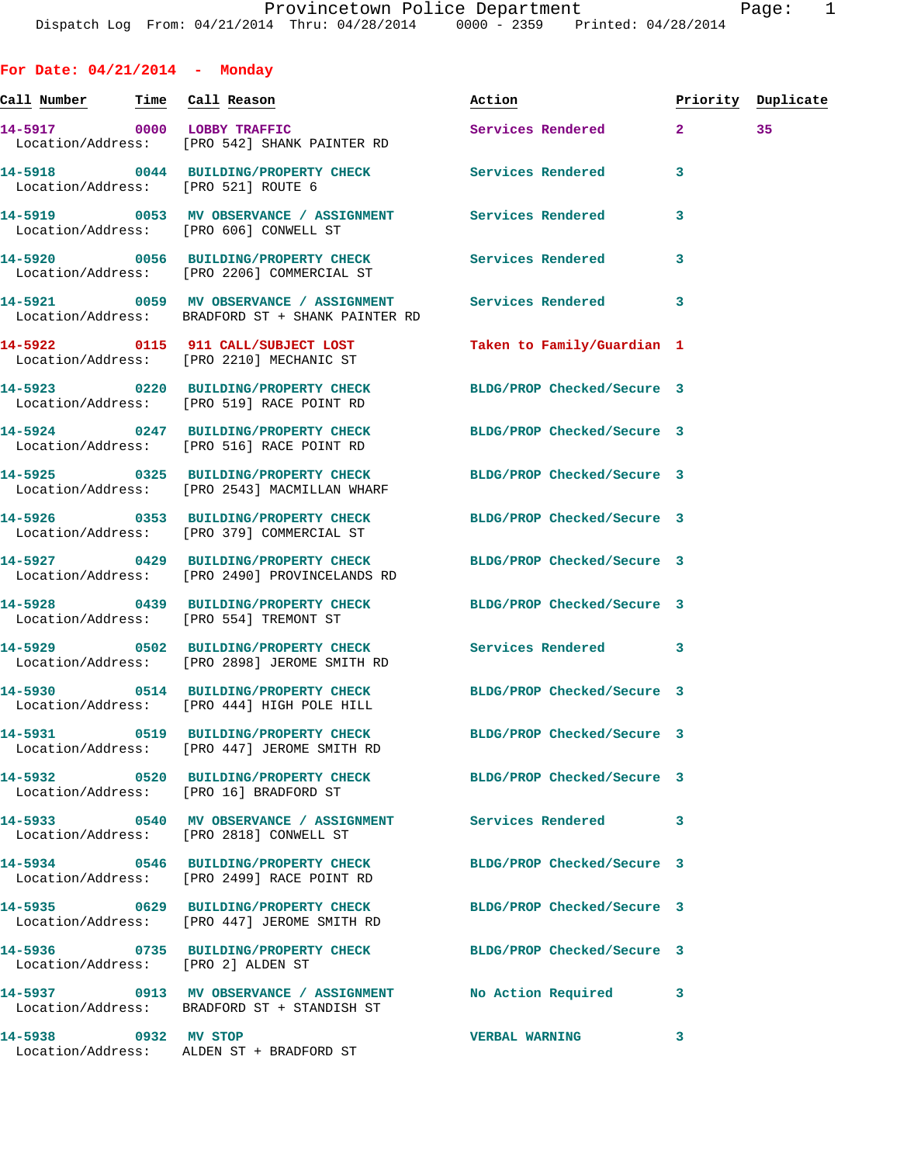**For Date: 04/21/2014 - Monday Call Number Time Call Reason Action Priority Duplicate 14-5917 0000 LOBBY TRAFFIC Services Rendered 2 35**  Location/Address: [PRO 542] SHANK PAINTER RD **14-5918 0044 BUILDING/PROPERTY CHECK Services Rendered 3**  Location/Address: [PRO 521] ROUTE 6 **14-5919 0053 MV OBSERVANCE / ASSIGNMENT Services Rendered 3**  Location/Address: [PRO 606] CONWELL ST **14-5920 0056 BUILDING/PROPERTY CHECK Services Rendered 3**  Location/Address: [PRO 2206] COMMERCIAL ST **14-5921 0059 MV OBSERVANCE / ASSIGNMENT Services Rendered 3**  Location/Address: BRADFORD ST + SHANK PAINTER RD **14-5922 0115 911 CALL/SUBJECT LOST Taken to Family/Guardian 1**  Location/Address: [PRO 2210] MECHANIC ST **14-5923 0220 BUILDING/PROPERTY CHECK BLDG/PROP Checked/Secure 3**  Location/Address: [PRO 519] RACE POINT RD **14-5924 0247 BUILDING/PROPERTY CHECK BLDG/PROP Checked/Secure 3**  Location/Address: [PRO 516] RACE POINT RD **14-5925 0325 BUILDING/PROPERTY CHECK BLDG/PROP Checked/Secure 3**  Location/Address: [PRO 2543] MACMILLAN WHARF **14-5926 0353 BUILDING/PROPERTY CHECK BLDG/PROP Checked/Secure 3**  Location/Address: [PRO 379] COMMERCIAL ST **14-5927 0429 BUILDING/PROPERTY CHECK BLDG/PROP Checked/Secure 3**  Location/Address: [PRO 2490] PROVINCELANDS RD **14-5928 0439 BUILDING/PROPERTY CHECK BLDG/PROP Checked/Secure 3**  Location/Address: [PRO 554] TREMONT ST **14-5929 0502 BUILDING/PROPERTY CHECK Services Rendered 3**  Location/Address: [PRO 2898] JEROME SMITH RD **14-5930 0514 BUILDING/PROPERTY CHECK BLDG/PROP Checked/Secure 3**  Location/Address: [PRO 444] HIGH POLE HILL **14-5931 0519 BUILDING/PROPERTY CHECK BLDG/PROP Checked/Secure 3**  Location/Address: [PRO 447] JEROME SMITH RD **14-5932 0520 BUILDING/PROPERTY CHECK BLDG/PROP Checked/Secure 3**  Location/Address: [PRO 16] BRADFORD ST **14-5933 0540 MV OBSERVANCE / ASSIGNMENT Services Rendered 3**  Location/Address: [PRO 2818] CONWELL ST **14-5934 0546 BUILDING/PROPERTY CHECK BLDG/PROP Checked/Secure 3**  Location/Address: [PRO 2499] RACE POINT RD **14-5935 0629 BUILDING/PROPERTY CHECK BLDG/PROP Checked/Secure 3**  Location/Address: [PRO 447] JEROME SMITH RD **14-5936 0735 BUILDING/PROPERTY CHECK BLDG/PROP Checked/Secure 3**  Location/Address: [PRO 2] ALDEN ST

**14-5937 0913 MV OBSERVANCE / ASSIGNMENT No Action Required 3**  Location/Address: BRADFORD ST + STANDISH ST **14-5938 0932 MV STOP VERBAL WARNING 3** 

Location/Address: ALDEN ST + BRADFORD ST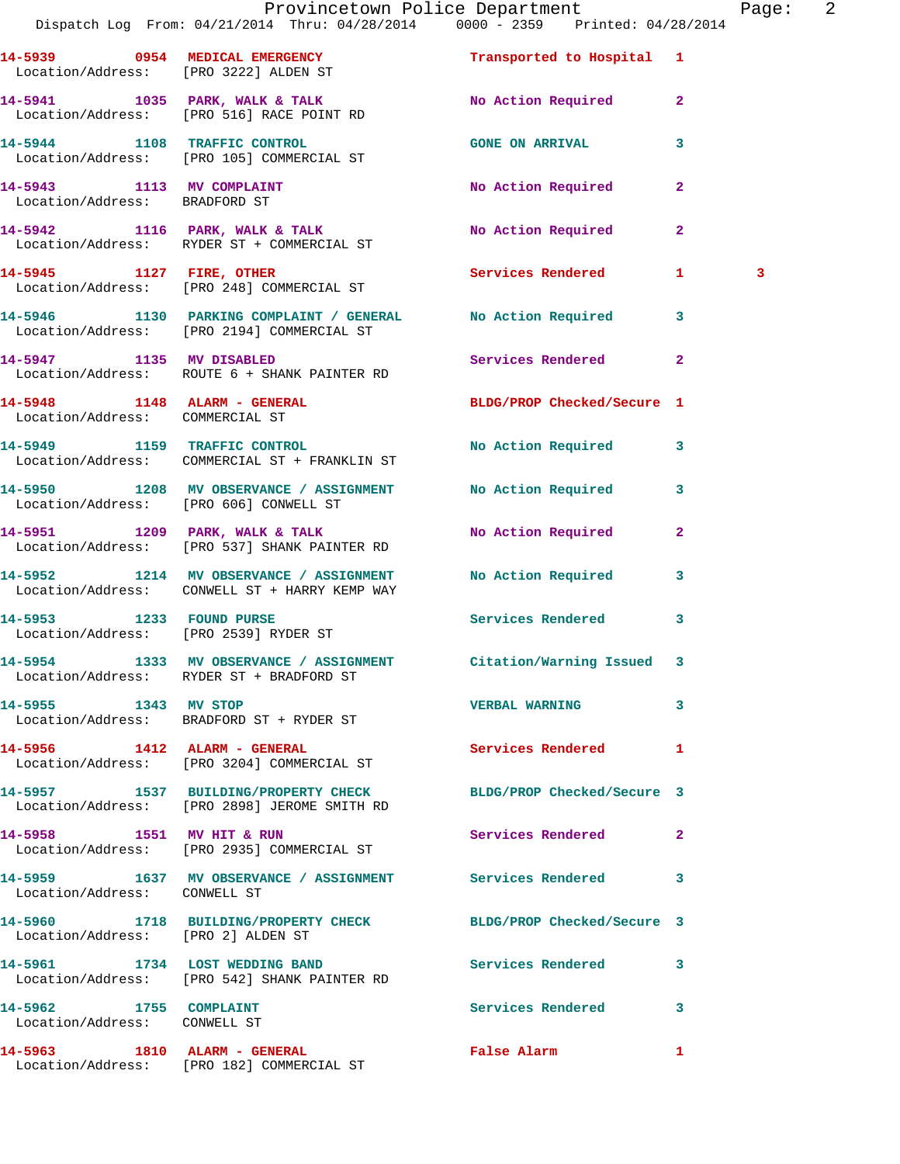|                                                            | Provincetown Police Department<br>Dispatch Log From: 04/21/2014 Thru: 04/28/2014 0000 - 2359 Printed: 04/28/2014 |                        |              | Page: 2 |  |
|------------------------------------------------------------|------------------------------------------------------------------------------------------------------------------|------------------------|--------------|---------|--|
|                                                            | 14-5939 0954 MEDICAL EMERGENCY Transported to Hospital 1<br>Location/Address: [PRO 3222] ALDEN ST                |                        |              |         |  |
|                                                            | 14-5941 1035 PARK, WALK & TALK 10 No Action Required 2<br>Location/Address: [PRO 516] RACE POINT RD              |                        |              |         |  |
|                                                            | 14-5944 1108 TRAFFIC CONTROL<br>Location/Address: [PRO 105] COMMERCIAL ST                                        | <b>GONE ON ARRIVAL</b> | $\mathbf{3}$ |         |  |
| 14-5943 1113 MV COMPLAINT<br>Location/Address: BRADFORD ST |                                                                                                                  | No Action Required     | $\mathbf{2}$ |         |  |
|                                                            | 14-5942 1116 PARK, WALK & TALK<br>Location/Address: RYDER ST + COMMERCIAL ST                                     | No Action Required     | $\mathbf{2}$ |         |  |
|                                                            | 14-5945 1127 FIRE, OTHER Services Rendered 1<br>Location/Address: [PRO 248] COMMERCIAL ST                        |                        |              | 3       |  |
|                                                            | 14-5946 1130 PARKING COMPLAINT / GENERAL No Action Required 3<br>Location/Address: [PRO 2194] COMMERCIAL ST      |                        |              |         |  |
|                                                            | 14-5947 1135 MV DISABLED<br>Location/Address: ROUTE 6 + SHANK PAINTER RD                                         | Services Rendered 2    |              |         |  |
| Location/Address: COMMERCIAL ST                            | 14-5948 1148 ALARM - GENERAL BLDG/PROP Checked/Secure 1                                                          |                        |              |         |  |
|                                                            | 14-5949 1159 TRAFFIC CONTROL<br>Location/Address: COMMERCIAL ST + FRANKLIN ST                                    | No Action Required 3   |              |         |  |
|                                                            | 14-5950 1208 MV OBSERVANCE / ASSIGNMENT No Action Required 3<br>Location/Address: [PRO 606] CONWELL ST           |                        |              |         |  |
|                                                            | 14-5951 1209 PARK, WALK & TALK<br>Location/Address: [PRO 537] SHANK PAINTER RD                                   | No Action Required     | $\mathbf{2}$ |         |  |
|                                                            | 14-5952 1214 MV OBSERVANCE / ASSIGNMENT No Action Required 3<br>Location/Address: CONWELL ST + HARRY KEMP WAY    |                        |              |         |  |
|                                                            | 14-5953 1233 FOUND PURSE<br>Location/Address: [PRO 2539] RYDER ST                                                | Services Rendered 3    |              |         |  |
|                                                            | 14-5954 1333 MV OBSERVANCE / ASSIGNMENT Citation/Warning Issued 3<br>Location/Address: RYDER ST + BRADFORD ST    |                        |              |         |  |
| 14-5955 1343 MV STOP                                       | Location/Address: BRADFORD ST + RYDER ST                                                                         | <b>VERBAL WARNING</b>  | $\mathbf{3}$ |         |  |
|                                                            | 14-5956 1412 ALARM - GENERAL<br>Location/Address: [PRO 3204] COMMERCIAL ST                                       | Services Rendered 1    |              |         |  |
|                                                            | 14-5957 1537 BUILDING/PROPERTY CHECK BLDG/PROP Checked/Secure 3<br>Location/Address: [PRO 2898] JEROME SMITH RD  |                        |              |         |  |
| 14-5958 1551 MV HIT & RUN                                  | Location/Address: [PRO 2935] COMMERCIAL ST                                                                       | Services Rendered 2    |              |         |  |
| Location/Address: CONWELL ST                               | 14-5959 1637 MV OBSERVANCE / ASSIGNMENT Services Rendered 3                                                      |                        |              |         |  |
| Location/Address: [PRO 2] ALDEN ST                         | 14-5960 1718 BUILDING/PROPERTY CHECK BLDG/PROP Checked/Secure 3                                                  |                        |              |         |  |
|                                                            | 14-5961 1734 LOST WEDDING BAND<br>Location/Address: [PRO 542] SHANK PAINTER RD                                   | Services Rendered 3    |              |         |  |
| 14-5962 1755 COMPLAINT<br>Location/Address: CONWELL ST     |                                                                                                                  | Services Rendered 3    |              |         |  |
| 14-5963 1810 ALARM - GENERAL                               |                                                                                                                  | False Alarm 1          |              |         |  |

Location/Address: [PRO 182] COMMERCIAL ST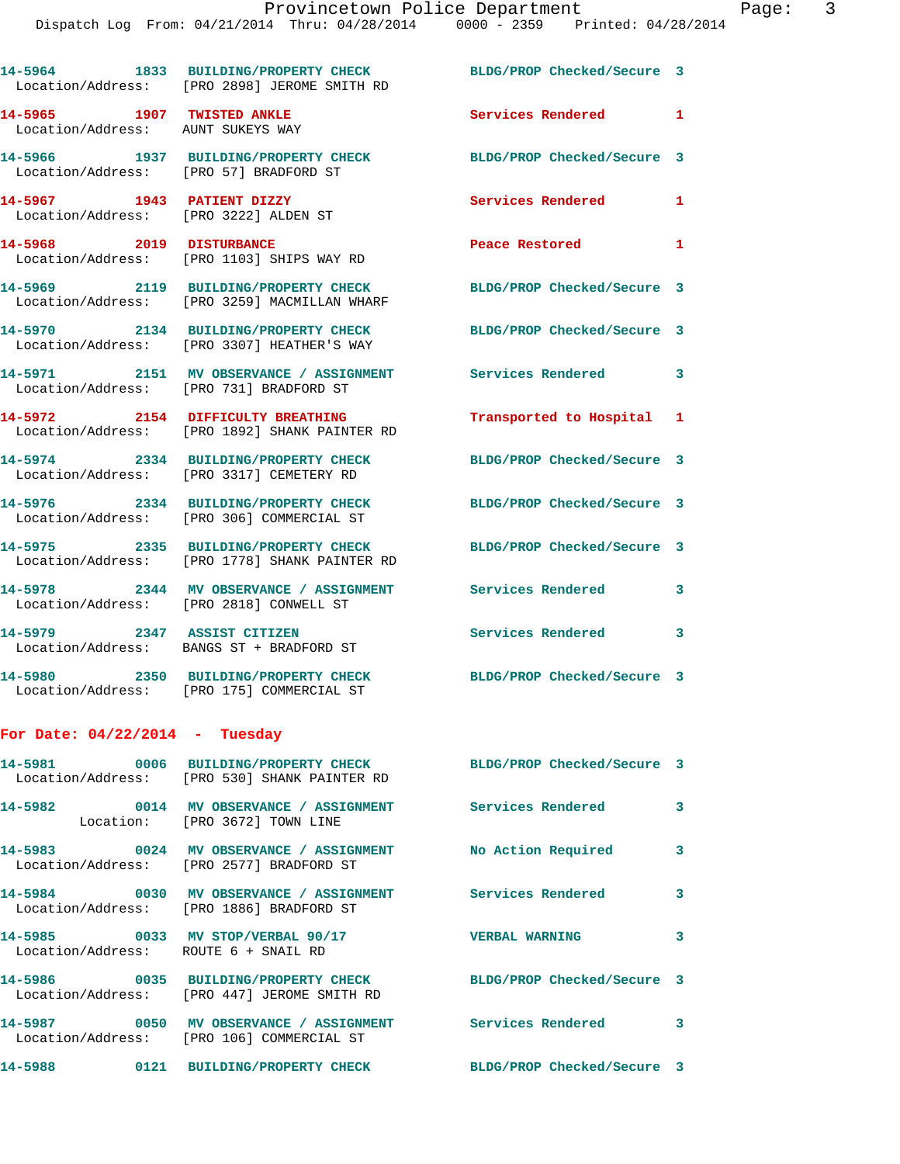|                                                                     | 14-5964 1833 BUILDING/PROPERTY CHECK<br>Location/Address: [PRO 2898] JEROME SMITH RD                            | BLDG/PROP Checked/Secure 3      |              |
|---------------------------------------------------------------------|-----------------------------------------------------------------------------------------------------------------|---------------------------------|--------------|
| 14-5965 1907 TWISTED ANKLE<br>Location/Address: AUNT SUKEYS WAY     |                                                                                                                 | Services Rendered 1             |              |
| Location/Address: [PRO 57] BRADFORD ST                              | 14-5966 1937 BUILDING/PROPERTY CHECK                                                                            | BLDG/PROP Checked/Secure 3      |              |
| 14-5967 1943 PATIENT DIZZY<br>Location/Address: [PRO 3222] ALDEN ST |                                                                                                                 | Services Rendered               | 1            |
| 14-5968 2019 DISTURBANCE                                            | Location/Address: [PRO 1103] SHIPS WAY RD                                                                       | Peace Restored and the Restored | $\mathbf{1}$ |
|                                                                     | 14-5969 2119 BUILDING/PROPERTY CHECK<br>Location/Address: [PRO 3259] MACMILLAN WHARF                            | BLDG/PROP Checked/Secure 3      |              |
|                                                                     | 14-5970 2134 BUILDING/PROPERTY CHECK<br>Location/Address: [PRO 3307] HEATHER'S WAY                              | BLDG/PROP Checked/Secure 3      |              |
|                                                                     | 14-5971 2151 MV OBSERVANCE / ASSIGNMENT Services Rendered<br>Location/Address: [PRO 731] BRADFORD ST            |                                 | 3            |
|                                                                     | 14-5972 2154 DIFFICULTY BREATHING<br>Location/Address: [PRO 1892] SHANK PAINTER RD                              | Transported to Hospital 1       |              |
|                                                                     | 14-5974 2334 BUILDING/PROPERTY CHECK<br>Location/Address: [PRO 3317] CEMETERY RD                                | BLDG/PROP Checked/Secure 3      |              |
|                                                                     | 14-5976 2334 BUILDING/PROPERTY CHECK<br>Location/Address: [PRO 306] COMMERCIAL ST                               | BLDG/PROP Checked/Secure 3      |              |
|                                                                     | 14-5975 2335 BUILDING/PROPERTY CHECK<br>Location/Address: [PRO 1778] SHANK PAINTER RD                           | BLDG/PROP Checked/Secure 3      |              |
|                                                                     | 14-5978 2344 MV OBSERVANCE / ASSIGNMENT<br>Location/Address: [PRO 2818] CONWELL ST                              | <b>Services Rendered</b>        | 3            |
| 14-5979 2347 ASSIST CITIZEN                                         | Location/Address: BANGS ST + BRADFORD ST                                                                        | Services Rendered 3             |              |
|                                                                     | 14-5980 2350 BUILDING/PROPERTY CHECK<br>Location/Address: [PRO 175] COMMERCIAL ST                               | BLDG/PROP Checked/Secure 3      |              |
| For Date: $04/22/2014$ - Tuesday                                    |                                                                                                                 |                                 |              |
|                                                                     | 14-5981 0006 BUILDING/PROPERTY CHECK BLDG/PROP Checked/Secure 3<br>Location/Address: [PRO 530] SHANK PAINTER RD |                                 |              |
|                                                                     | 14-5982 0014 MV OBSERVANCE / ASSIGNMENT Services Rendered<br>Location: [PRO 3672] TOWN LINE                     |                                 | 3            |
|                                                                     | 14-5983 0024 MV OBSERVANCE / ASSIGNMENT No Action Required<br>Location/Address: [PRO 2577] BRADFORD ST          |                                 | 3            |
|                                                                     | 14-5984 6030 MV OBSERVANCE / ASSIGNMENT Services Rendered<br>Location/Address: [PRO 1886] BRADFORD ST           |                                 | 3            |
| Location/Address: ROUTE 6 + SNAIL RD                                | 14-5985 0033 MV STOP/VERBAL 90/17 5 VERBAL WARNING                                                              |                                 | 3            |
|                                                                     | 14-5986 0035 BUILDING/PROPERTY CHECK<br>Location/Address: [PRO 447] JEROME SMITH RD                             | BLDG/PROP Checked/Secure 3      |              |
|                                                                     | 14-5987 0050 MV OBSERVANCE / ASSIGNMENT Services Rendered 3<br>Location/Address: [PRO 106] COMMERCIAL ST        |                                 |              |

**14-5988 0121 BUILDING/PROPERTY CHECK BLDG/PROP Checked/Secure 3**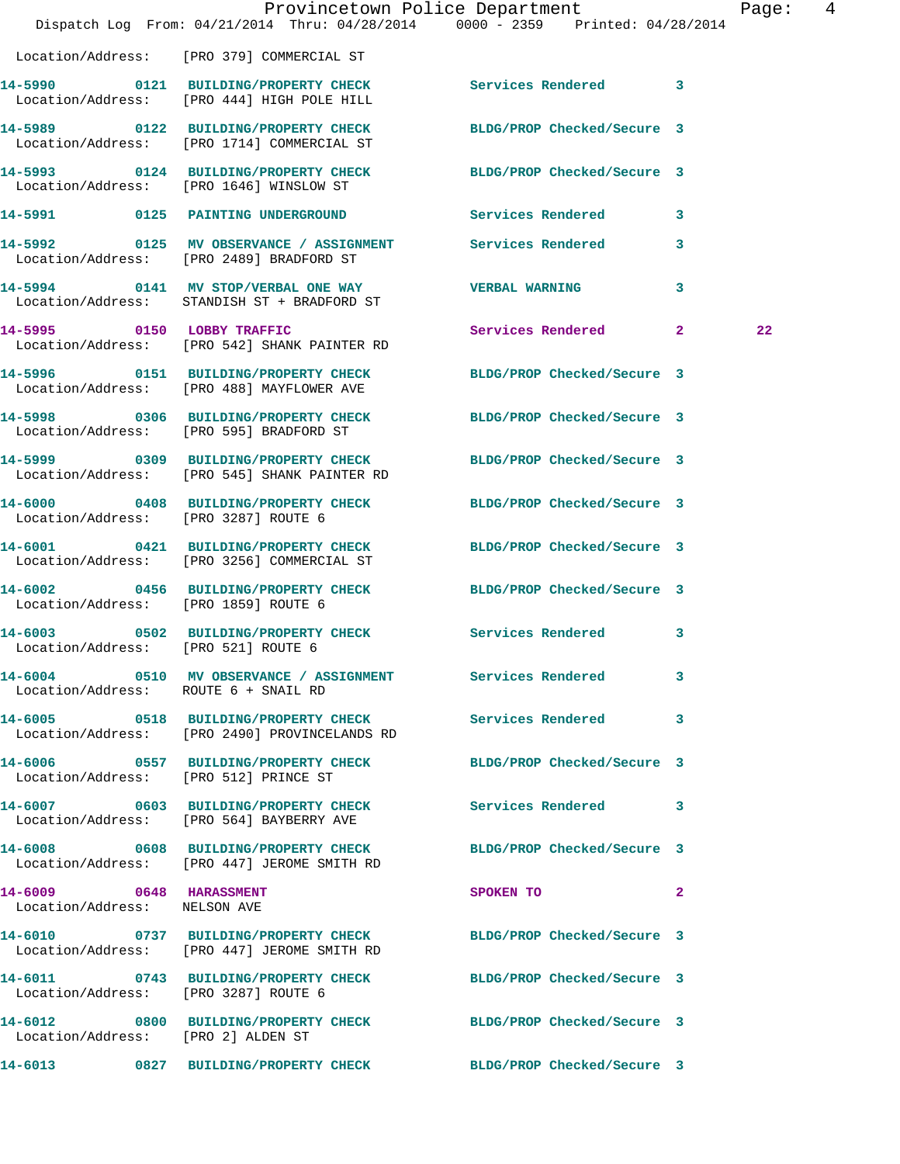|                                                         | Dispatch Log From: 04/21/2014 Thru: 04/28/2014 0000 - 2359 Printed: 04/28/2014                                  | Provincetown Police Department |              | Page: 4 |  |
|---------------------------------------------------------|-----------------------------------------------------------------------------------------------------------------|--------------------------------|--------------|---------|--|
|                                                         | Location/Address: [PRO 379] COMMERCIAL ST                                                                       |                                |              |         |  |
|                                                         | 14-5990 0121 BUILDING/PROPERTY CHECK Services Rendered 3<br>Location/Address: [PRO 444] HIGH POLE HILL          |                                |              |         |  |
|                                                         | 14-5989 0122 BUILDING/PROPERTY CHECK<br>Location/Address: [PRO 1714] COMMERCIAL ST                              | BLDG/PROP Checked/Secure 3     |              |         |  |
|                                                         | 14-5993 0124 BUILDING/PROPERTY CHECK BLDG/PROP Checked/Secure 3<br>Location/Address: [PRO 1646] WINSLOW ST      |                                |              |         |  |
|                                                         | 14-5991 0125 PAINTING UNDERGROUND Services Rendered 3                                                           |                                |              |         |  |
|                                                         | 14-5992 0125 MV OBSERVANCE / ASSIGNMENT Services Rendered 3<br>Location/Address: [PRO 2489] BRADFORD ST         |                                |              |         |  |
|                                                         | 14-5994 0141 MV STOP/VERBAL ONE WAY VERBAL WARNING<br>Location/Address: STANDISH ST + BRADFORD ST               |                                | 3            |         |  |
|                                                         | 14-5995 0150 LOBBY TRAFFIC<br>Location/Address: [PRO 542] SHANK PAINTER RD                                      | Services Rendered 2            |              | $22 \,$ |  |
|                                                         | 14-5996 0151 BUILDING/PROPERTY CHECK BLDG/PROP Checked/Secure 3<br>Location/Address: [PRO 488] MAYFLOWER AVE    |                                |              |         |  |
|                                                         | 14-5998 0306 BUILDING/PROPERTY CHECK BLDG/PROP Checked/Secure 3<br>Location/Address: [PRO 595] BRADFORD ST      |                                |              |         |  |
|                                                         | 14-5999 0309 BUILDING/PROPERTY CHECK BLDG/PROP Checked/Secure 3<br>Location/Address: [PRO 545] SHANK PAINTER RD |                                |              |         |  |
| Location/Address: [PRO 3287] ROUTE 6                    | 14-6000 0408 BUILDING/PROPERTY CHECK BLDG/PROP Checked/Secure 3                                                 |                                |              |         |  |
|                                                         | 14-6001 0421 BUILDING/PROPERTY CHECK BLDG/PROP Checked/Secure 3<br>Location/Address: [PRO 3256] COMMERCIAL ST   |                                |              |         |  |
| Location/Address: [PRO 1859] ROUTE 6                    | 14-6002 0456 BUILDING/PROPERTY CHECK BLDG/PROP Checked/Secure 3                                                 |                                |              |         |  |
| Location/Address: [PRO 521] ROUTE 6                     | 14-6003 0502 BUILDING/PROPERTY CHECK Services Rendered 3                                                        |                                |              |         |  |
| Location/Address: ROUTE 6 + SNAIL RD                    | 14-6004 0510 MV OBSERVANCE / ASSIGNMENT Services Rendered 3                                                     |                                |              |         |  |
|                                                         | 14-6005 0518 BUILDING/PROPERTY CHECK Services Rendered 3<br>Location/Address: [PRO 2490] PROVINCELANDS RD       |                                |              |         |  |
|                                                         | 14-6006 0557 BUILDING/PROPERTY CHECK BLDG/PROP Checked/Secure 3<br>Location/Address: [PRO 512] PRINCE ST        |                                |              |         |  |
|                                                         | 14-6007 0603 BUILDING/PROPERTY CHECK Services Rendered 3<br>Location/Address: [PRO 564] BAYBERRY AVE            |                                |              |         |  |
|                                                         | 14-6008 0608 BUILDING/PROPERTY CHECK BLDG/PROP Checked/Secure 3<br>Location/Address: [PRO 447] JEROME SMITH RD  |                                |              |         |  |
| 14-6009 0648 HARASSMENT<br>Location/Address: NELSON AVE |                                                                                                                 | SPOKEN TO                      | $\mathbf{2}$ |         |  |
|                                                         | 14-6010 0737 BUILDING/PROPERTY CHECK BLDG/PROP Checked/Secure 3<br>Location/Address: [PRO 447] JEROME SMITH RD  |                                |              |         |  |
| Location/Address: [PRO 3287] ROUTE 6                    | 14-6011 0743 BUILDING/PROPERTY CHECK BLDG/PROP Checked/Secure 3                                                 |                                |              |         |  |
| Location/Address: [PRO 2] ALDEN ST                      | 14-6012 0800 BUILDING/PROPERTY CHECK BLDG/PROP Checked/Secure 3                                                 |                                |              |         |  |
|                                                         | 14-6013 0827 BUILDING/PROPERTY CHECK BLDG/PROP Checked/Secure 3                                                 |                                |              |         |  |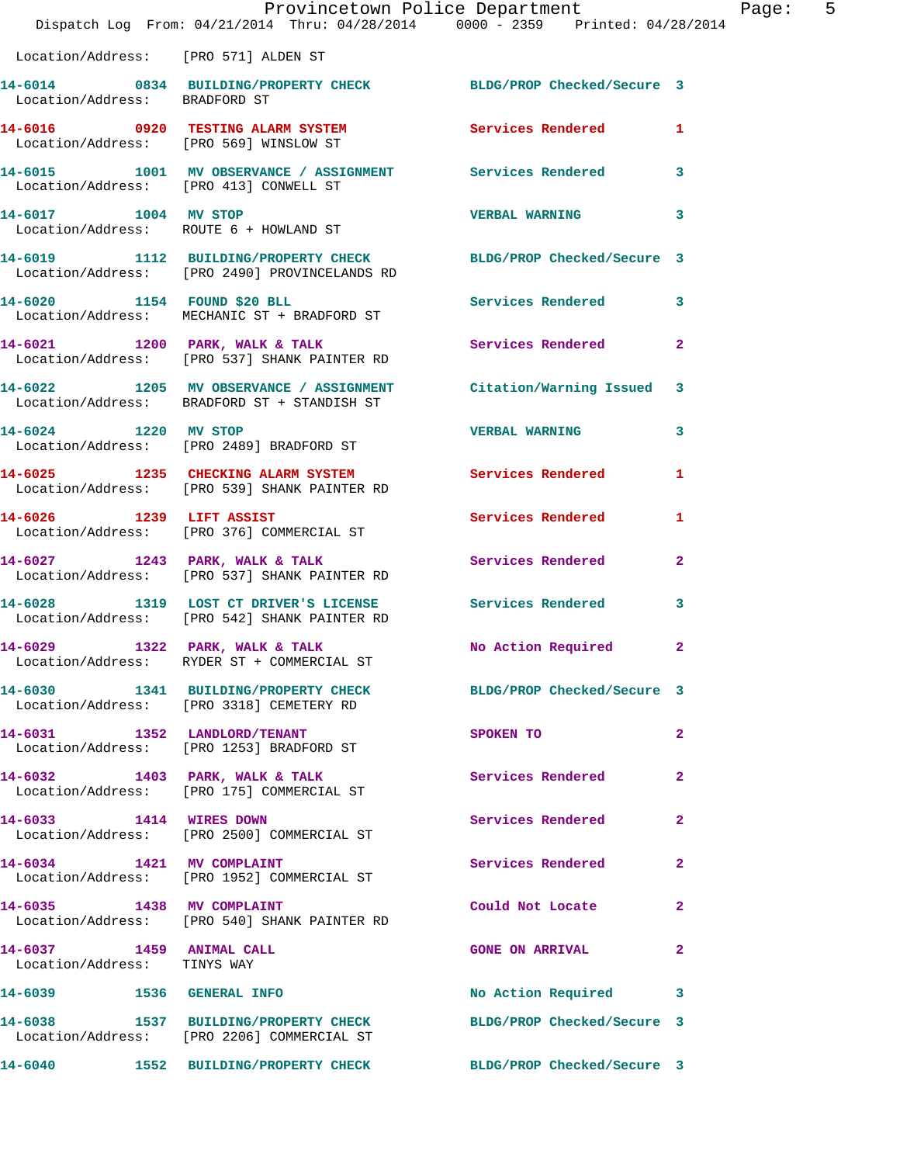|                                                         | Provincetown Police Department<br>Dispatch Log From: 04/21/2014 Thru: 04/28/2014 0000 - 2359 Printed: 04/28/2014 |                            | 5<br>Page:   |
|---------------------------------------------------------|------------------------------------------------------------------------------------------------------------------|----------------------------|--------------|
| Location/Address: [PRO 571] ALDEN ST                    |                                                                                                                  |                            |              |
| Location/Address: BRADFORD ST                           | 14-6014 0834 BUILDING/PROPERTY CHECK BLDG/PROP Checked/Secure 3                                                  |                            |              |
|                                                         | 14-6016 0920 TESTING ALARM SYSTEM Services Rendered 1<br>Location/Address: [PRO 569] WINSLOW ST                  |                            |              |
| Location/Address: [PRO 413] CONWELL ST                  | 14-6015 1001 MV OBSERVANCE / ASSIGNMENT Services Rendered 3                                                      |                            |              |
| 14-6017 1004 MV STOP                                    | Location/Address: ROUTE 6 + HOWLAND ST                                                                           | <b>VERBAL WARNING 3</b>    |              |
|                                                         | 14-6019 1112 BUILDING/PROPERTY CHECK BLDG/PROP Checked/Secure 3<br>Location/Address: [PRO 2490] PROVINCELANDS RD |                            |              |
|                                                         | 14-6020 1154 FOUND \$20 BLL Services Rendered 3<br>Location/Address: MECHANIC ST + BRADFORD ST                   |                            |              |
|                                                         | 14-6021 1200 PARK, WALK & TALK<br>Location/Address: [PRO 537] SHANK PAINTER RD                                   | Services Rendered 2        |              |
|                                                         | 14-6022 1205 MV OBSERVANCE / ASSIGNMENT Citation/Warning Issued 3<br>Location/Address: BRADFORD ST + STANDISH ST |                            |              |
|                                                         | 14-6024 1220 MV STOP<br>Location/Address: [PRO 2489] BRADFORD ST                                                 | VERBAL WARNING 3           |              |
|                                                         | 14-6025 1235 CHECKING ALARM SYSTEM Services Rendered 1<br>Location/Address: [PRO 539] SHANK PAINTER RD           |                            |              |
|                                                         | 14-6026 1239 LIFT ASSIST<br>Location/Address: [PRO 376] COMMERCIAL ST                                            | Services Rendered 1        |              |
|                                                         | 14-6027 1243 PARK, WALK & TALK<br>Location/Address: [PRO 537] SHANK PAINTER RD                                   | <b>Services Rendered</b>   | $\mathbf{2}$ |
|                                                         | 14-6028 1319 LOST CT DRIVER'S LICENSE Services Rendered 3<br>Location/Address: [PRO 542] SHANK PAINTER RD        |                            |              |
| 14-6029 1322 PARK, WALK & TALK                          | Location/Address: RYDER ST + COMMERCIAL ST                                                                       | No Action Required         | $\mathbf{2}$ |
|                                                         | 14-6030 1341 BUILDING/PROPERTY CHECK BLDG/PROP Checked/Secure 3<br>Location/Address: [PRO 3318] CEMETERY RD      |                            |              |
|                                                         | 14-6031 1352 LANDLORD/TENANT<br>Location/Address: [PRO 1253] BRADFORD ST                                         | SPOKEN TO                  | $\mathbf{2}$ |
|                                                         | 14-6032 1403 PARK, WALK & TALK<br>Location/Address: [PRO 175] COMMERCIAL ST                                      | Services Rendered          | $\mathbf{2}$ |
|                                                         | 14-6033 1414 WIRES DOWN<br>Location/Address: [PRO 2500] COMMERCIAL ST                                            | Services Rendered          | $\mathbf{2}$ |
|                                                         | 14-6034 1421 MV COMPLAINT<br>Location/Address: [PRO 1952] COMMERCIAL ST                                          | Services Rendered 2        |              |
|                                                         | 14-6035 1438 MV COMPLAINT<br>Location/Address: [PRO 540] SHANK PAINTER RD                                        | Could Not Locate           | $\mathbf{2}$ |
| 14-6037 1459 ANIMAL CALL<br>Location/Address: TINYS WAY |                                                                                                                  | GONE ON ARRIVAL 2          |              |
| 14-6039 1536 GENERAL INFO                               |                                                                                                                  | No Action Required 3       |              |
|                                                         | 14-6038 1537 BUILDING/PROPERTY CHECK BLDG/PROP Checked/Secure 3<br>Location/Address: [PRO 2206] COMMERCIAL ST    |                            |              |
|                                                         | 14-6040 1552 BUILDING/PROPERTY CHECK                                                                             | BLDG/PROP Checked/Secure 3 |              |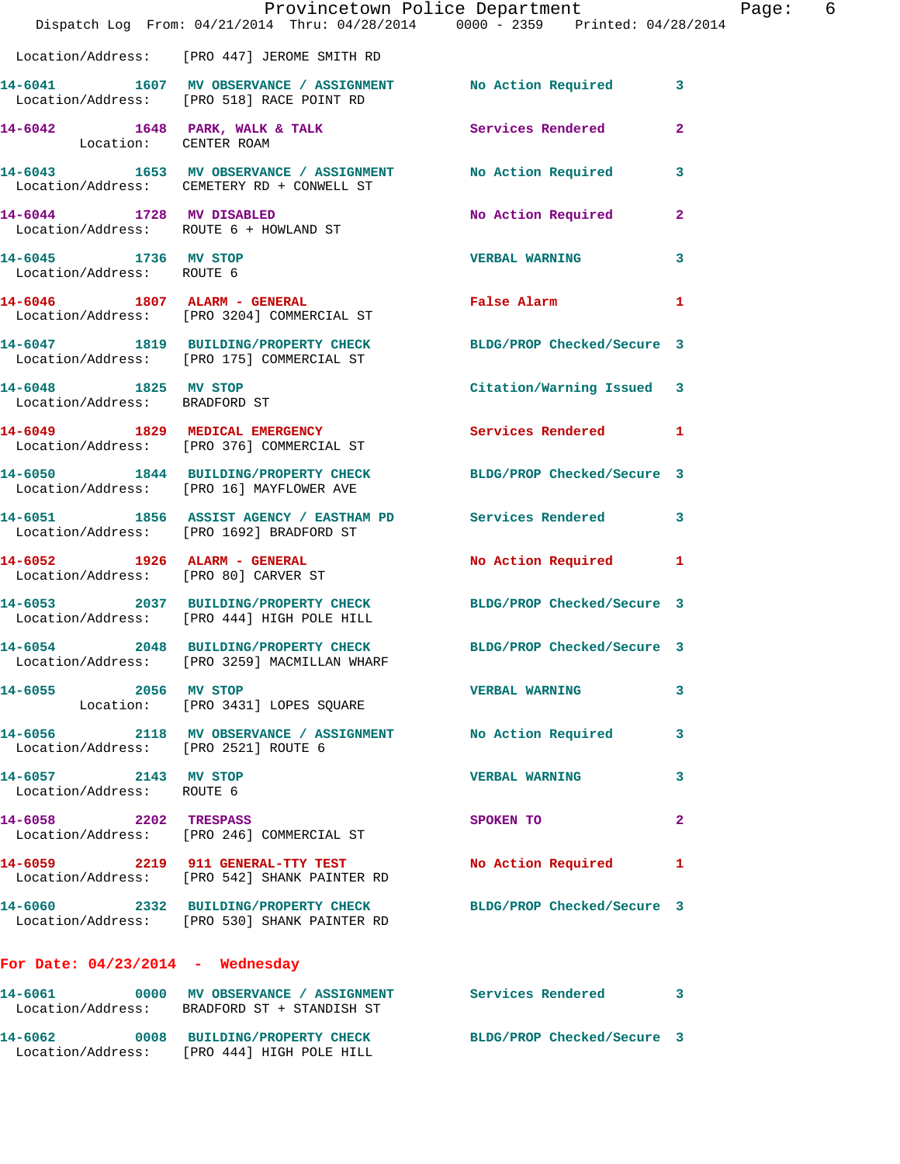|                                                   | Dispatch Log From: 04/21/2014 Thru: 04/28/2014 0000 - 2359 Printed: 04/28/2014                                  | Provincetown Police Department |                         | Page: 6 |
|---------------------------------------------------|-----------------------------------------------------------------------------------------------------------------|--------------------------------|-------------------------|---------|
|                                                   | Location/Address: [PRO 447] JEROME SMITH RD                                                                     |                                |                         |         |
|                                                   | 14-6041 1607 MV OBSERVANCE / ASSIGNMENT No Action Required 3<br>Location/Address: [PRO 518] RACE POINT RD       |                                |                         |         |
| Location: CENTER ROAM                             | 14-6042 1648 PARK, WALK & TALK Services Rendered                                                                |                                | $\overline{2}$          |         |
|                                                   | 14-6043 1653 MV OBSERVANCE / ASSIGNMENT No Action Required 3<br>Location/Address: CEMETERY RD + CONWELL ST      |                                |                         |         |
|                                                   | 14-6044 1728 MV DISABLED<br>Location/Address: ROUTE 6 + HOWLAND ST                                              | No Action Required             | $\mathbf{2}$            |         |
| 14-6045 1736 MV STOP<br>Location/Address: ROUTE 6 |                                                                                                                 | <b>VERBAL WARNING</b>          | $\overline{\mathbf{3}}$ |         |
|                                                   | 14-6046 1807 ALARM - GENERAL<br>Location/Address: [PRO 3204] COMMERCIAL ST                                      | False Alarm                    | $\mathbf{1}$            |         |
|                                                   | 14-6047 1819 BUILDING/PROPERTY CHECK BLDG/PROP Checked/Secure 3<br>Location/Address: [PRO 175] COMMERCIAL ST    |                                |                         |         |
| 14-6048 1825 MV STOP                              | Lozz MV STOP<br>Location/Address: BRADFORD ST                                                                   | Citation/Warning Issued 3      |                         |         |
|                                                   | 14-6049 1829 MEDICAL EMERGENCY Services Rendered 1<br>Location/Address: [PRO 376] COMMERCIAL ST                 |                                |                         |         |
|                                                   | 14-6050 1844 BUILDING/PROPERTY CHECK BLDG/PROP Checked/Secure 3<br>Location/Address: [PRO 16] MAYFLOWER AVE     |                                |                         |         |
|                                                   | 14-6051 1856 ASSIST AGENCY / EASTHAM PD Services Rendered 3<br>Location/Address: [PRO 1692] BRADFORD ST         |                                |                         |         |
|                                                   | 14-6052 1926 ALARM - GENERAL<br>Location/Address: [PRO 80] CARVER ST                                            | No Action Required 1           |                         |         |
|                                                   | 14-6053 2037 BUILDING/PROPERTY CHECK BLDG/PROP Checked/Secure 3<br>Location/Address: [PRO 444] HIGH POLE HILL   |                                |                         |         |
|                                                   | 14-6054 2048 BUILDING/PROPERTY CHECK BLDG/PROP Checked/Secure 3<br>Location/Address: [PRO 3259] MACMILLAN WHARF |                                |                         |         |
| 14-6055 2056 MV STOP                              | Location: [PRO 3431] LOPES SQUARE                                                                               | VERBAL WARNING                 | 3                       |         |
| Location/Address: [PRO 2521] ROUTE 6              | 14-6056 2118 MV OBSERVANCE / ASSIGNMENT No Action Required 3                                                    |                                |                         |         |
| 14-6057 2143 MV STOP<br>Location/Address: ROUTE 6 |                                                                                                                 | <b>VERBAL WARNING</b>          | $\mathbf{3}$            |         |
| 14-6058 2202 TRESPASS                             | Location/Address: [PRO 246] COMMERCIAL ST                                                                       | SPOKEN TO                      | $\mathbf{2}$            |         |
|                                                   | 14-6059 2219 911 GENERAL-TTY TEST No Action Required 1<br>Location/Address: [PRO 542] SHANK PAINTER RD          |                                |                         |         |
|                                                   | 14-6060 2332 BUILDING/PROPERTY CHECK BLDG/PROP Checked/Secure 3<br>Location/Address: [PRO 530] SHANK PAINTER RD |                                |                         |         |
| For Date: $04/23/2014$ - Wednesday                |                                                                                                                 |                                |                         |         |
|                                                   | 14-6061 0000 MV OBSERVANCE / ASSIGNMENT Services Rendered 3<br>Location/Address: BRADFORD ST + STANDISH ST      |                                |                         |         |
|                                                   | 14-6062 0008 BUILDING/PROPERTY CHECK BLDG/PROP Checked/Secure 3<br>Location/Address: [PRO 444] HIGH POLE HILL   |                                |                         |         |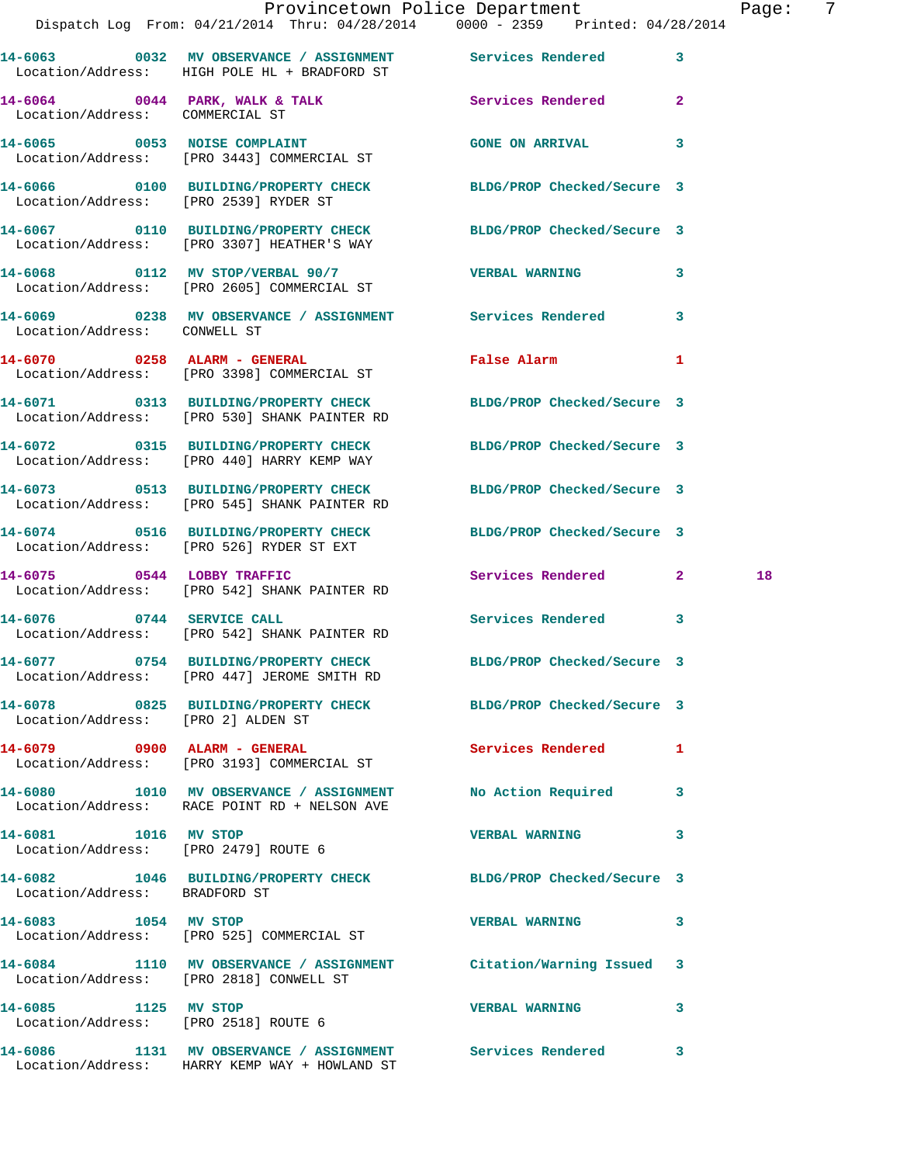|                                    |                                                                                               | Provincetown Police Department<br>Dispatch Log From: 04/21/2014 Thru: 04/28/2014 0000 - 2359 Printed: 04/28/2014 | - 7<br>Page: |
|------------------------------------|-----------------------------------------------------------------------------------------------|------------------------------------------------------------------------------------------------------------------|--------------|
|                                    | Location/Address: HIGH POLE HL + BRADFORD ST                                                  | 14-6063 6032 MV OBSERVANCE / ASSIGNMENT Services Rendered 3                                                      |              |
| Location/Address: COMMERCIAL ST    |                                                                                               | 14-6064 0044 PARK, WALK & TALK 3 Services Rendered 2                                                             |              |
|                                    | 14-6065 0053 NOISE COMPLAINT<br>Location/Address: [PRO 3443] COMMERCIAL ST                    | GONE ON ARRIVAL 3                                                                                                |              |
|                                    | Location/Address: [PRO 2539] RYDER ST                                                         | 14-6066 0100 BUILDING/PROPERTY CHECK BLDG/PROP Checked/Secure 3                                                  |              |
|                                    | Location/Address: [PRO 3307] HEATHER'S WAY                                                    | 14-6067  0110 BUILDING/PROPERTY CHECK BLDG/PROP Checked/Secure 3                                                 |              |
|                                    | 14-6068 0112 MV STOP/VERBAL 90/7 VERBAL WARNING<br>Location/Address: [PRO 2605] COMMERCIAL ST | 3                                                                                                                |              |
| Location/Address: CONWELL ST       |                                                                                               | 14-6069 0238 MV OBSERVANCE / ASSIGNMENT Services Rendered 3                                                      |              |
|                                    | 14-6070 0258 ALARM - GENERAL<br>Location/Address: [PRO 3398] COMMERCIAL ST                    | False Alarm <b>Exercise Service Service</b><br>$\mathbf{1}$                                                      |              |
|                                    | Location/Address: [PRO 530] SHANK PAINTER RD                                                  | 14-6071 0313 BUILDING/PROPERTY CHECK BLDG/PROP Checked/Secure 3                                                  |              |
|                                    | Location/Address: [PRO 440] HARRY KEMP WAY                                                    | 14-6072 0315 BUILDING/PROPERTY CHECK BLDG/PROP Checked/Secure 3                                                  |              |
|                                    | Location/Address: [PRO 545] SHANK PAINTER RD                                                  | 14-6073 0513 BUILDING/PROPERTY CHECK BLDG/PROP Checked/Secure 3                                                  |              |
|                                    | Location/Address: [PRO 526] RYDER ST EXT                                                      | 14-6074 0516 BUILDING/PROPERTY CHECK BLDG/PROP Checked/Secure 3                                                  |              |
|                                    | 14-6075 0544 LOBBY TRAFFIC<br>Location/Address: [PRO 542] SHANK PAINTER RD                    | Services Rendered 2                                                                                              | 18           |
|                                    | 14-6076 0744 SERVICE CALL<br>Location/Address: [PRO 542] SHANK PAINTER RD                     | Services Rendered 3                                                                                              |              |
|                                    | Location/Address: [PRO 447] JEROME SMITH RD                                                   | 14-6077 0754 BUILDING/PROPERTY CHECK BLDG/PROP Checked/Secure 3                                                  |              |
| Location/Address: [PRO 2] ALDEN ST |                                                                                               | 14-6078 0825 BUILDING/PROPERTY CHECK BLDG/PROP Checked/Secure 3                                                  |              |
|                                    | 14-6079 0900 ALARM - GENERAL<br>Location/Address: [PRO 3193] COMMERCIAL ST                    | <b>Services Rendered</b> 1                                                                                       |              |
|                                    | 14-6080 1010 MV OBSERVANCE / ASSIGNMENT<br>Location/Address: RACE POINT RD + NELSON AVE       | No Action Required 3                                                                                             |              |
| 14-6081 1016 MV STOP               | Location/Address: [PRO 2479] ROUTE 6                                                          | <b>VERBAL WARNING</b><br>3                                                                                       |              |
| Location/Address: BRADFORD ST      |                                                                                               | 14-6082 1046 BUILDING/PROPERTY CHECK BLDG/PROP Checked/Secure 3                                                  |              |
| 14-6083 1054 MV STOP               | Location/Address: [PRO 525] COMMERCIAL ST                                                     | VERBAL WARNING 3                                                                                                 |              |
|                                    | Location/Address: [PRO 2818] CONWELL ST                                                       | 14-6084 1110 MV OBSERVANCE / ASSIGNMENT Citation/Warning Issued 3                                                |              |
| 14-6085 1125 MV STOP               | Location/Address: [PRO 2518] ROUTE 6                                                          | <b>VERBAL WARNING</b><br>3                                                                                       |              |
|                                    | Location/Address: HARRY KEMP WAY + HOWLAND ST                                                 | 14-6086 1131 MV OBSERVANCE / ASSIGNMENT Services Rendered 3                                                      |              |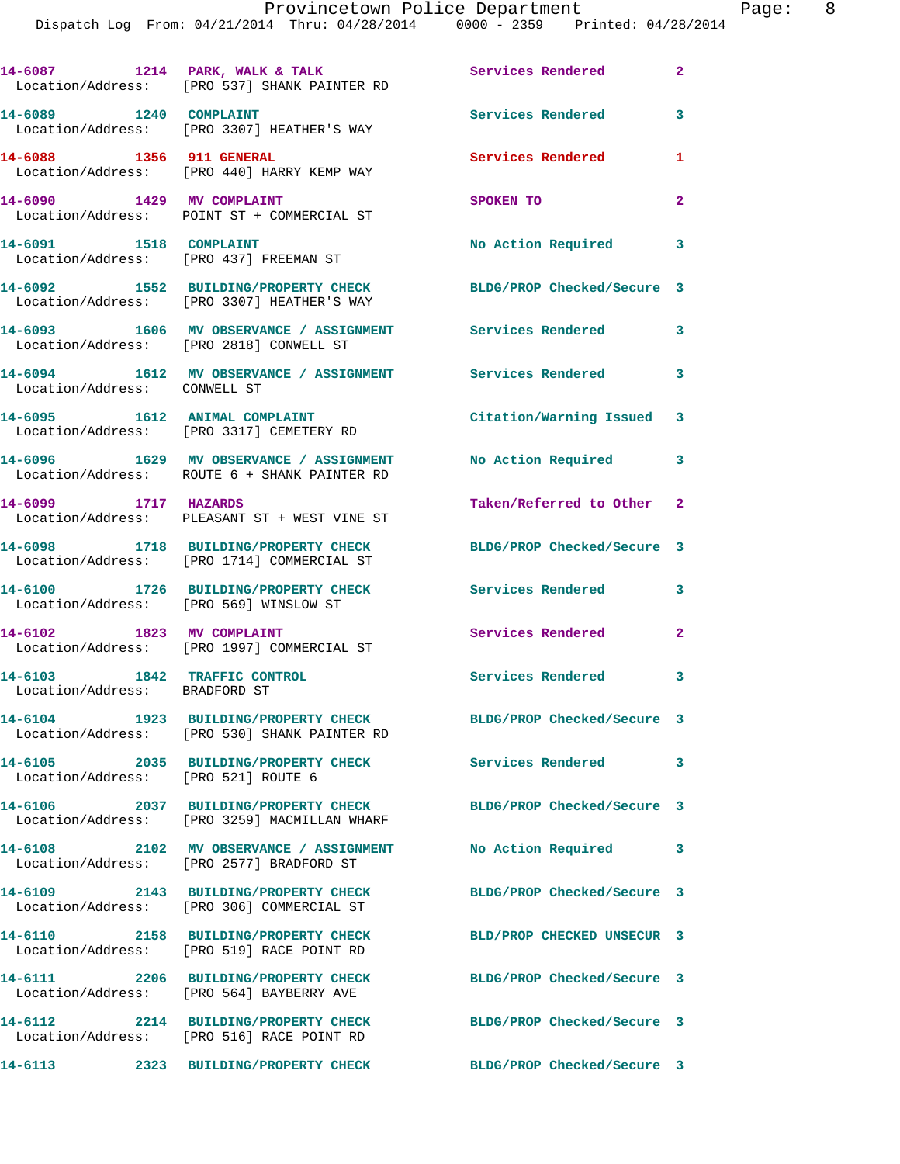|                                                               | 14-6087 1214 PARK, WALK & TALK<br>Location/Address: [PRO 537] SHANK PAINTER RD                       | <b>Services Rendered</b>   | $\overline{2}$             |
|---------------------------------------------------------------|------------------------------------------------------------------------------------------------------|----------------------------|----------------------------|
|                                                               | 14-6089 1240 COMPLAINT<br>Location/Address: [PRO 3307] HEATHER'S WAY                                 | Services Rendered          | 3                          |
| 14-6088 1356 911 GENERAL                                      | Location/Address: [PRO 440] HARRY KEMP WAY                                                           | Services Rendered          | 1                          |
| 14-6090 1429 MV COMPLAINT                                     | Location/Address: POINT ST + COMMERCIAL ST                                                           | SPOKEN TO                  | $\mathbf{2}$               |
| 14-6091 1518 COMPLAINT                                        | Location/Address: [PRO 437] FREEMAN ST                                                               | No Action Required 3       |                            |
|                                                               | 14-6092 1552 BUILDING/PROPERTY CHECK<br>Location/Address: [PRO 3307] HEATHER'S WAY                   | BLDG/PROP Checked/Secure 3 |                            |
|                                                               | 14-6093 1606 MV OBSERVANCE / ASSIGNMENT Services Rendered<br>Location/Address: [PRO 2818] CONWELL ST |                            | $\mathbf{3}$               |
| Location/Address: CONWELL ST                                  | 14-6094 1612 MV OBSERVANCE / ASSIGNMENT Services Rendered                                            |                            | $\overline{\phantom{a}}$ 3 |
|                                                               | 14-6095 1612 ANIMAL COMPLAINT<br>Location/Address: [PRO 3317] CEMETERY RD                            | Citation/Warning Issued 3  |                            |
|                                                               | 14-6096 1629 MV OBSERVANCE / ASSIGNMENT<br>Location/Address: ROUTE 6 + SHANK PAINTER RD              | No Action Required 3       |                            |
| 14-6099 1717 HAZARDS                                          | Location/Address: PLEASANT ST + WEST VINE ST                                                         | Taken/Referred to Other 2  |                            |
|                                                               | 14-6098 1718 BUILDING/PROPERTY CHECK<br>Location/Address: [PRO 1714] COMMERCIAL ST                   | BLDG/PROP Checked/Secure 3 |                            |
| Location/Address: [PRO 569] WINSLOW ST                        | 14-6100 1726 BUILDING/PROPERTY CHECK                                                                 | <b>Services Rendered</b>   | 3                          |
| 14-6102 1823 MV COMPLAINT                                     | Location/Address: [PRO 1997] COMMERCIAL ST                                                           | Services Rendered 2        |                            |
| 14-6103 1842 TRAFFIC CONTROL<br>Location/Address: BRADFORD ST |                                                                                                      | <b>Services Rendered</b> 3 |                            |
|                                                               | 14-6104 1923 BUILDING/PROPERTY CHECK<br>Location/Address: [PRO 530] SHANK PAINTER RD                 | BLDG/PROP Checked/Secure 3 |                            |
| Location/Address: [PRO 521] ROUTE 6                           | 14-6105 2035 BUILDING/PROPERTY CHECK                                                                 | <b>Services Rendered</b>   | 3                          |
|                                                               | 14-6106 2037 BUILDING/PROPERTY CHECK<br>Location/Address: [PRO 3259] MACMILLAN WHARF                 | BLDG/PROP Checked/Secure 3 |                            |
|                                                               | 14-6108 2102 MV OBSERVANCE / ASSIGNMENT<br>Location/Address: [PRO 2577] BRADFORD ST                  | No Action Required         | $\overline{\phantom{a}}$ 3 |
|                                                               | 14-6109 2143 BUILDING/PROPERTY CHECK<br>Location/Address: [PRO 306] COMMERCIAL ST                    | BLDG/PROP Checked/Secure 3 |                            |
|                                                               | 14-6110 2158 BUILDING/PROPERTY CHECK<br>Location/Address: [PRO 519] RACE POINT RD                    | BLD/PROP CHECKED UNSECUR 3 |                            |
|                                                               | 14-6111 2206 BUILDING/PROPERTY CHECK<br>Location/Address: [PRO 564] BAYBERRY AVE                     | BLDG/PROP Checked/Secure 3 |                            |
|                                                               | 14-6112 2214 BUILDING/PROPERTY CHECK<br>Location/Address: [PRO 516] RACE POINT RD                    | BLDG/PROP Checked/Secure 3 |                            |
| 14-6113                                                       | 2323 BUILDING/PROPERTY CHECK                                                                         | BLDG/PROP Checked/Secure 3 |                            |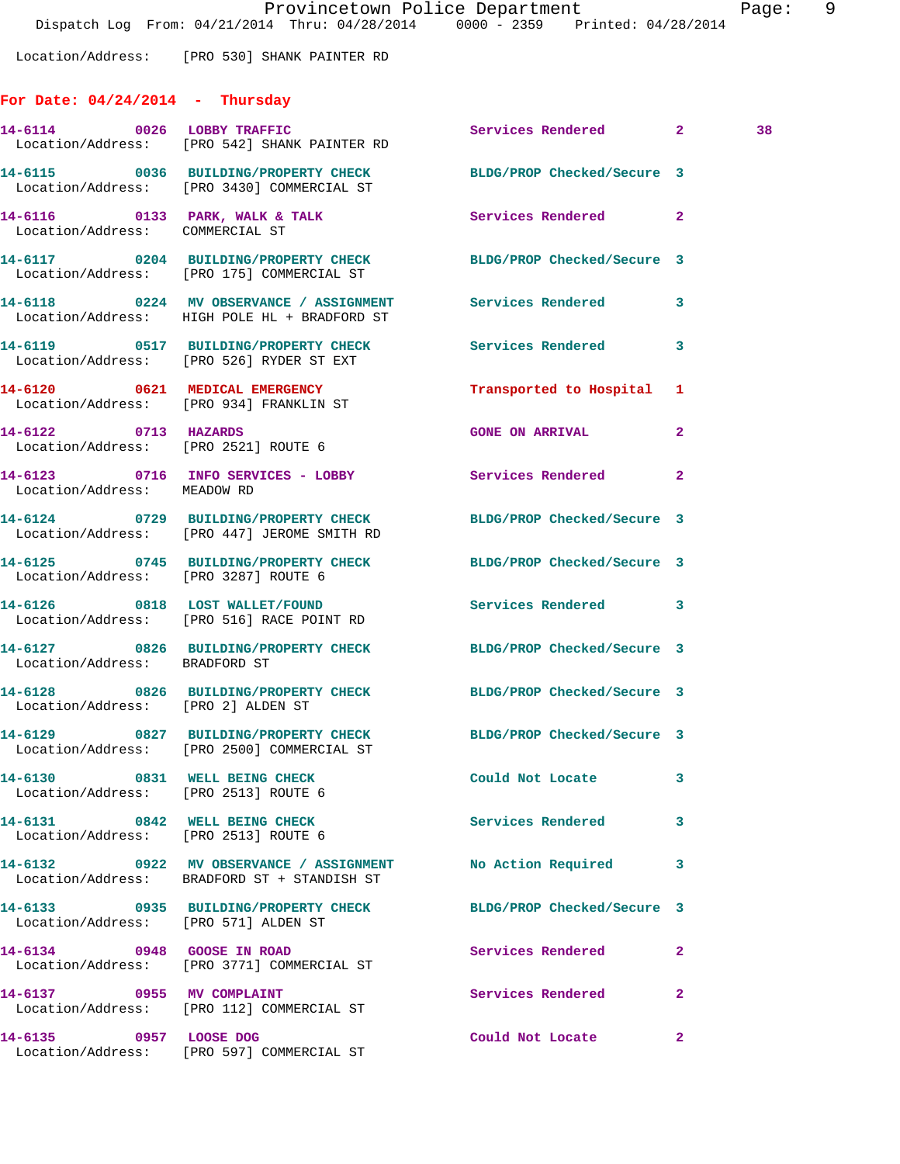Location/Address: [PRO 530] SHANK PAINTER RD

## **For Date: 04/24/2014 - Thursday**

| 14-6114 0026 LOBBY TRAFFIC                                            | Location/Address: [PRO 542] SHANK PAINTER RD                                                                  | Services Rendered 2        |                | 38 |
|-----------------------------------------------------------------------|---------------------------------------------------------------------------------------------------------------|----------------------------|----------------|----|
|                                                                       | 14-6115 0036 BUILDING/PROPERTY CHECK<br>Location/Address: [PRO 3430] COMMERCIAL ST                            | BLDG/PROP Checked/Secure 3 |                |    |
| Location/Address: COMMERCIAL ST                                       | 14-6116 0133 PARK, WALK & TALK                                                                                | Services Rendered          | $\mathbf{2}$   |    |
|                                                                       | 14-6117 0204 BUILDING/PROPERTY CHECK BLDG/PROP Checked/Secure 3<br>Location/Address: [PRO 175] COMMERCIAL ST  |                            |                |    |
|                                                                       | 14-6118 0224 MV OBSERVANCE / ASSIGNMENT Services Rendered<br>Location/Address: HIGH POLE HL + BRADFORD ST     |                            | 3              |    |
|                                                                       | 14-6119 0517 BUILDING/PROPERTY CHECK Services Rendered 3<br>Location/Address: [PRO 526] RYDER ST EXT          |                            |                |    |
|                                                                       | 14-6120 0621 MEDICAL EMERGENCY<br>Location/Address: [PRO 934] FRANKLIN ST                                     | Transported to Hospital 1  |                |    |
| 14-6122 0713 HAZARDS                                                  | Location/Address: [PRO 2521] ROUTE 6                                                                          | <b>GONE ON ARRIVAL</b>     | $\overline{2}$ |    |
| Location/Address: MEADOW RD                                           | 14-6123 0716 INFO SERVICES - LOBBY                                                                            | Services Rendered          | $\overline{2}$ |    |
|                                                                       | 14-6124 0729 BUILDING/PROPERTY CHECK<br>Location/Address: [PRO 447] JEROME SMITH RD                           | BLDG/PROP Checked/Secure 3 |                |    |
| Location/Address: [PRO 3287] ROUTE 6                                  | 14-6125 0745 BUILDING/PROPERTY CHECK                                                                          | BLDG/PROP Checked/Secure 3 |                |    |
|                                                                       | 14-6126 0818 LOST WALLET/FOUND<br>Location/Address: [PRO 516] RACE POINT RD                                   | Services Rendered 3        |                |    |
| Location/Address: BRADFORD ST                                         | 14-6127 0826 BUILDING/PROPERTY CHECK BLDG/PROP Checked/Secure 3                                               |                            |                |    |
| Location/Address: [PRO 2] ALDEN ST                                    | 14-6128 0826 BUILDING/PROPERTY CHECK BLDG/PROP Checked/Secure 3                                               |                            |                |    |
|                                                                       | 14-6129 0827 BUILDING/PROPERTY CHECK BLDG/PROP Checked/Secure 3<br>Location/Address: [PRO 2500] COMMERCIAL ST |                            |                |    |
| 14-6130<br>Location/Address: [PRO 2513] ROUTE 6                       | 0831 WELL BEING CHECK                                                                                         | Could Not Locate           | 3              |    |
| 14-6131 0842 WELL BEING CHECK<br>Location/Address: [PRO 2513] ROUTE 6 |                                                                                                               | Services Rendered          | 3              |    |
|                                                                       | 14-6132 0922 MV OBSERVANCE / ASSIGNMENT<br>Location/Address: BRADFORD ST + STANDISH ST                        | No Action Required         | 3              |    |
| Location/Address: [PRO 571] ALDEN ST                                  | 14-6133 0935 BUILDING/PROPERTY CHECK                                                                          | BLDG/PROP Checked/Secure 3 |                |    |
| 14-6134 0948 GOOSE IN ROAD                                            | Location/Address: [PRO 3771] COMMERCIAL ST                                                                    | Services Rendered          | $\mathbf{2}$   |    |
| 14-6137 0955 MV COMPLAINT                                             | Location/Address: [PRO 112] COMMERCIAL ST                                                                     | <b>Services Rendered</b>   | $\mathbf{2}$   |    |
| 14-6135 0957 LOOSE DOG                                                | Location/Address: [PRO 597] COMMERCIAL ST                                                                     | Could Not Locate           | 2              |    |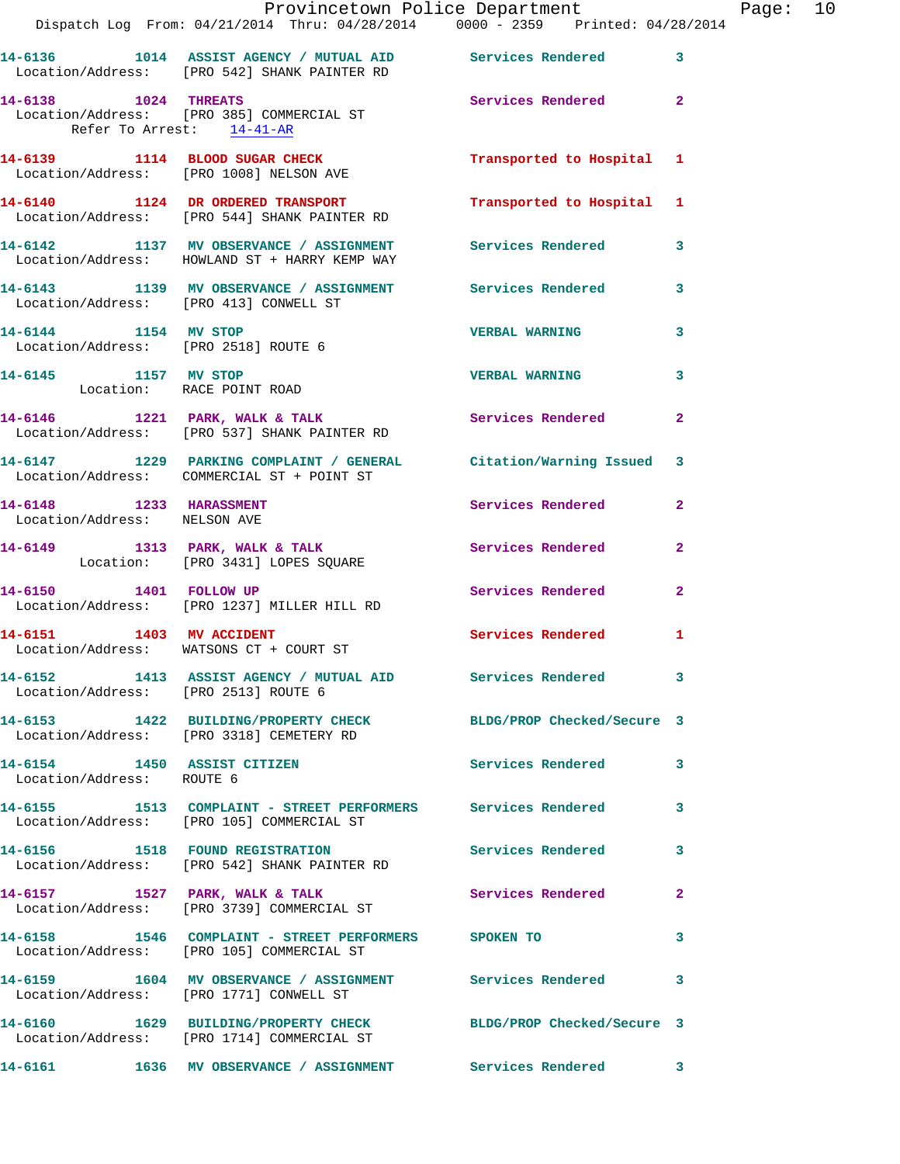|                                                         | Provincetown Police Department Fage: 10<br>Dispatch Log From: 04/21/2014 Thru: 04/28/2014                0000 - 2359   Printed: 04/28/2014 |                         |              |  |
|---------------------------------------------------------|--------------------------------------------------------------------------------------------------------------------------------------------|-------------------------|--------------|--|
|                                                         | 14-6136 1014 ASSIST AGENCY / MUTUAL AID Services Rendered 3<br>Location/Address: [PRO 542] SHANK PAINTER RD                                |                         |              |  |
| Refer To Arrest: 14-41-AR                               | 14-6138 1024 THREATS<br>Location/Address: [PRO 385] COMMERCIAL ST                                                                          | Services Rendered 2     |              |  |
|                                                         | 14-6139 1114 BLOOD SUGAR CHECK Transported to Hospital 1<br>Location/Address: [PRO 1008] NELSON AVE                                        |                         |              |  |
|                                                         | 14-6140 1124 DR ORDERED TRANSPORT Transported to Hospital 1<br>Location/Address: [PRO 544] SHANK PAINTER RD                                |                         |              |  |
|                                                         | 14-6142 1137 MV OBSERVANCE / ASSIGNMENT Services Rendered 3<br>Location/Address: HOWLAND ST + HARRY KEMP WAY                               |                         |              |  |
| Location/Address: [PRO 413] CONWELL ST                  | 14-6143 1139 MV OBSERVANCE / ASSIGNMENT Services Rendered 3                                                                                |                         |              |  |
| 14-6144 1154 MV STOP                                    | Location/Address: [PRO 2518] ROUTE 6                                                                                                       | <b>VERBAL WARNING</b> 3 |              |  |
| Location: RACE POINT ROAD                               | 14-6145 1157 MV STOP                                                                                                                       | <b>VERBAL WARNING</b>   | 3            |  |
|                                                         | 14-6146 1221 PARK, WALK & TALK Services Rendered<br>Location/Address: [PRO 537] SHANK PAINTER RD                                           |                         | $\mathbf{2}$ |  |
|                                                         | 14-6147 1229 PARKING COMPLAINT / GENERAL Citation/Warning Issued 3<br>Location/Address: COMMERCIAL ST + POINT ST                           |                         |              |  |
| 14-6148 1233 HARASSMENT<br>Location/Address: NELSON AVE |                                                                                                                                            | Services Rendered       | $\mathbf{2}$ |  |
|                                                         | 14-6149 1313 PARK, WALK & TALK Services Rendered Location: [PRO 3431] LOPES SQUARE                                                         |                         | $\mathbf{2}$ |  |
|                                                         | 14-6150 1401 FOLLOW UP<br>Location/Address: [PRO 1237] MILLER HILL RD                                                                      | Services Rendered       | $\mathbf{2}$ |  |
|                                                         | 14-6151 1403 MV ACCIDENT<br>Location/Address: WATSONS CT + COURT ST                                                                        | Services Rendered 1     |              |  |
| Location/Address: [PRO 2513] ROUTE 6                    | 14-6152 1413 ASSIST AGENCY / MUTUAL AID Services Rendered 3                                                                                |                         |              |  |
|                                                         | 14-6153 1422 BUILDING/PROPERTY CHECK BLDG/PROP Checked/Secure 3<br>Location/Address: [PRO 3318] CEMETERY RD                                |                         |              |  |
| Location/Address: ROUTE 6                               | 14-6154 1450 ASSIST CITIZEN 5 Services Rendered 3                                                                                          |                         |              |  |
|                                                         | 14-6155 1513 COMPLAINT - STREET PERFORMERS Services Rendered<br>Location/Address: [PRO 105] COMMERCIAL ST                                  |                         | 3            |  |
|                                                         | 14-6156 1518 FOUND REGISTRATION Services Rendered<br>Location/Address: [PRO 542] SHANK PAINTER RD                                          |                         | 3            |  |
|                                                         | 14-6157 1527 PARK, WALK & TALK 1999 Services Rendered<br>Location/Address: [PRO 3739] COMMERCIAL ST                                        |                         | 2            |  |
|                                                         | 14-6158 1546 COMPLAINT - STREET PERFORMERS SPOKEN TO<br>Location/Address: [PRO 105] COMMERCIAL ST                                          |                         | 3            |  |
|                                                         | 14-6159 1604 MV OBSERVANCE / ASSIGNMENT Services Rendered<br>Location/Address: [PRO 1771] CONWELL ST                                       |                         | 3            |  |
|                                                         | 14-6160 1629 BUILDING/PROPERTY CHECK BLDG/PROP Checked/Secure 3<br>Location/Address: [PRO 1714] COMMERCIAL ST                              |                         |              |  |
|                                                         | 14-6161 1636 MV OBSERVANCE / ASSIGNMENT Services Rendered 3                                                                                |                         |              |  |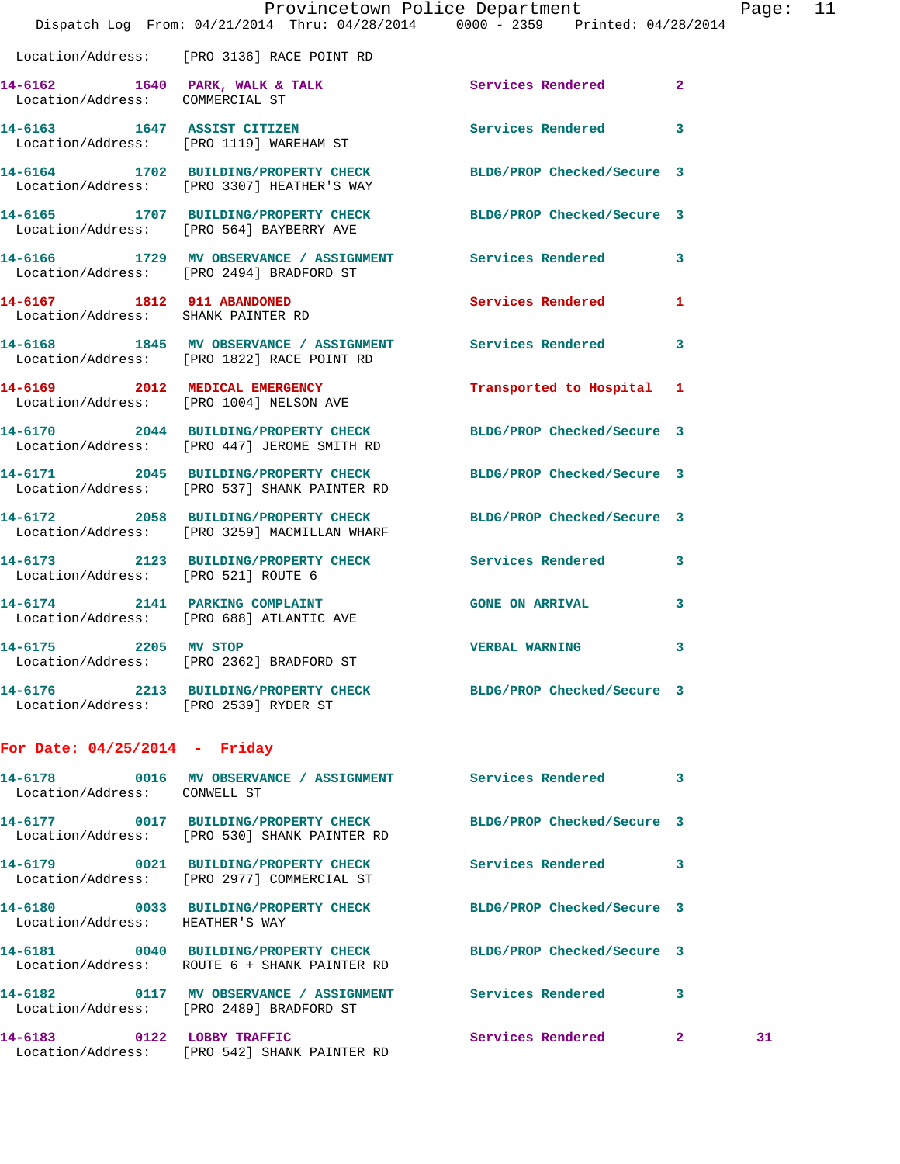|                                     | Provincetown Police Department<br>Dispatch Log From: 04/21/2014 Thru: 04/28/2014 0000 - 2359 Printed: 04/28/2014 |                        |                | Page |
|-------------------------------------|------------------------------------------------------------------------------------------------------------------|------------------------|----------------|------|
|                                     | Location/Address: [PRO 3136] RACE POINT RD                                                                       |                        |                |      |
|                                     | 14-6162 1640 PARK, WALK & TALK Services Rendered Location/Address: COMMERCIAL ST                                 |                        | $\overline{2}$ |      |
|                                     | 14-6163 1647 ASSIST CITIZEN<br>Location/Address: [PRO 1119] WAREHAM ST                                           | Services Rendered      | 3              |      |
|                                     | 14-6164 1702 BUILDING/PROPERTY CHECK BLDG/PROP Checked/Secure 3<br>Location/Address: [PRO 3307] HEATHER'S WAY    |                        |                |      |
|                                     | 14-6165 1707 BUILDING/PROPERTY CHECK BLDG/PROP Checked/Secure 3<br>Location/Address: [PRO 564] BAYBERRY AVE      |                        |                |      |
|                                     | 14-6166 1729 MV OBSERVANCE / ASSIGNMENT Services Rendered<br>Location/Address: [PRO 2494] BRADFORD ST            |                        | 3              |      |
| Location/Address: SHANK PAINTER RD  | 14-6167 1812 911 ABANDONED                                                                                       | Services Rendered      | 1              |      |
|                                     | 14-6168 1845 MV OBSERVANCE / ASSIGNMENT Services Rendered<br>Location/Address: [PRO 1822] RACE POINT RD          |                        | 3              |      |
|                                     | 14-6169 2012 MEDICAL EMERGENCY Transported to Hospital 1<br>Location/Address: [PRO 1004] NELSON AVE              |                        |                |      |
|                                     | 14-6170 2044 BUILDING/PROPERTY CHECK BLDG/PROP Checked/Secure 3<br>Location/Address: [PRO 447] JEROME SMITH RD   |                        |                |      |
|                                     | 14-6171 2045 BUILDING/PROPERTY CHECK BLDG/PROP Checked/Secure 3<br>Location/Address: [PRO 537] SHANK PAINTER RD  |                        |                |      |
|                                     | 14-6172 2058 BUILDING/PROPERTY CHECK BLDG/PROP Checked/Secure 3<br>Location/Address: [PRO 3259] MACMILLAN WHARF  |                        |                |      |
| Location/Address: [PRO 521] ROUTE 6 | 14-6173 2123 BUILDING/PROPERTY CHECK Services Rendered                                                           |                        | 3              |      |
|                                     | 14-6174 2141 PARKING COMPLAINT<br>Location/Address: [PRO 688] ATLANTIC AVE                                       | <b>GONE ON ARRIVAL</b> | 3              |      |
| 14-6175 2205 MV STOP                | Location/Address: [PRO 2362] BRADFORD ST                                                                         | VERBAL WARNING         | 3              |      |
|                                     | 14-6176 2213 BUILDING/PROPERTY CHECK BLDG/PROP Checked/Secure 3<br>Location/Address: [PRO 2539] RYDER ST         |                        |                |      |
| For Date: $04/25/2014$ - Friday     |                                                                                                                  |                        |                |      |
| Location/Address: CONWELL ST        | 14-6178 0016 MV OBSERVANCE / ASSIGNMENT Services Rendered 3                                                      |                        |                |      |
|                                     | 14-6177 0017 BUILDING/PROPERTY CHECK BLDG/PROP Checked/Secure 3<br>Location/Address: [PRO 530] SHANK PAINTER RD  |                        |                |      |
|                                     | 14-6179 0021 BUILDING/PROPERTY CHECK Services Rendered<br>Location/Address: [PRO 2977] COMMERCIAL ST             |                        | 3              |      |
| Location/Address: HEATHER'S WAY     | 14-6180 0033 BUILDING/PROPERTY CHECK BLDG/PROP Checked/Secure 3                                                  |                        |                |      |
|                                     | 14-6181 0040 BUILDING/PROPERTY CHECK BLDG/PROP Checked/Secure 3<br>Location/Address: ROUTE 6 + SHANK PAINTER RD  |                        |                |      |
|                                     | 14-6182 0117 MV OBSERVANCE / ASSIGNMENT Services Rendered<br>Location/Address: [PRO 2489] BRADFORD ST            |                        | 3              |      |
| 14-6183 0122 LOBBY TRAFFIC          | Location/Address: [PRO 542] SHANK PAINTER RD                                                                     | Services Rendered 2    |                | 31   |

age: 11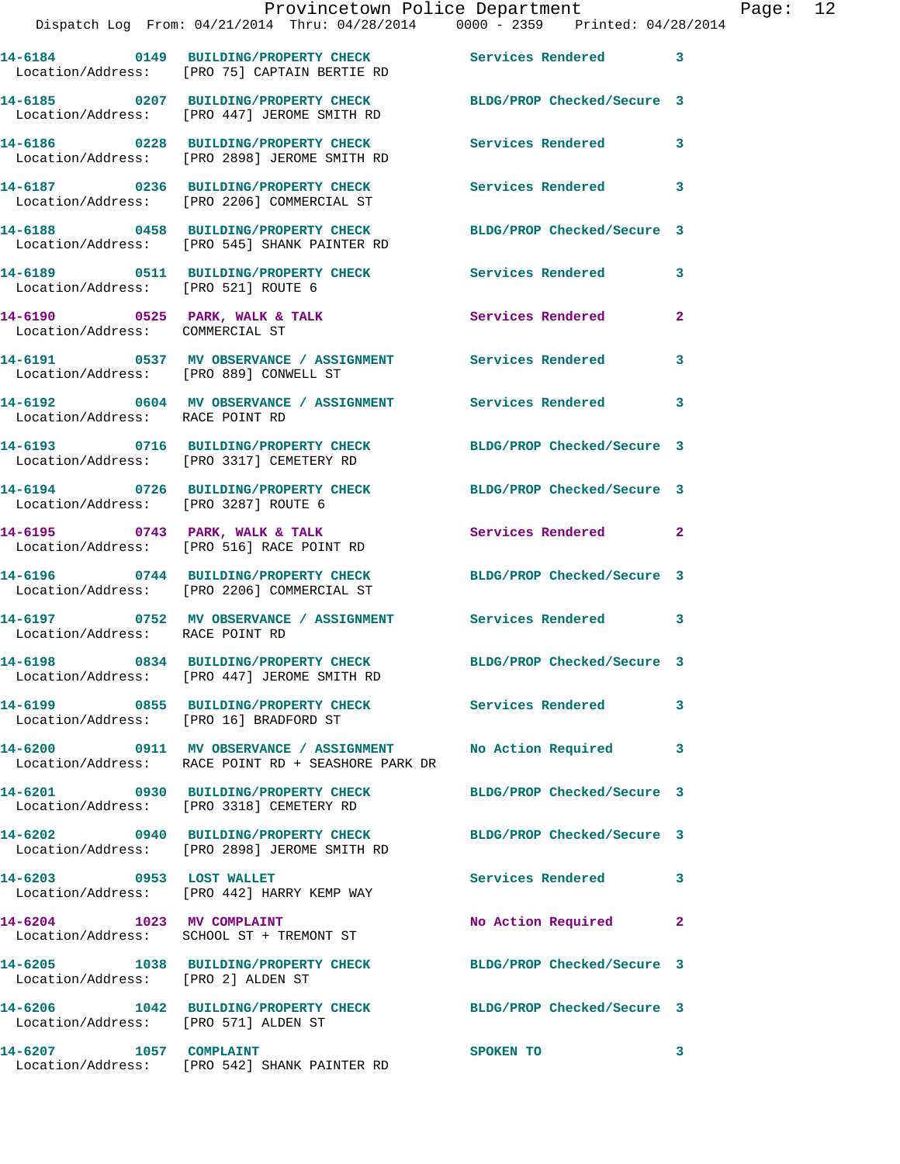|                                        | Provincetown Police Department<br>Dispatch Log From: 04/21/2014 Thru: 04/28/2014                0000 - 2359   Printed: 04/28/2014 |                            |                |
|----------------------------------------|-----------------------------------------------------------------------------------------------------------------------------------|----------------------------|----------------|
|                                        |                                                                                                                                   |                            |                |
|                                        | 14-6184 0149 BUILDING/PROPERTY CHECK Services Rendered<br>Location/Address: [PRO 75] CAPTAIN BERTIE RD                            |                            | 3              |
|                                        | 14-6185 0207 BUILDING/PROPERTY CHECK BLDG/PROP Checked/Secure 3<br>Location/Address: [PRO 447] JEROME SMITH RD                    |                            |                |
|                                        | 14-6186      0228   BUILDING/PROPERTY CHECK        Services Rendered<br>Location/Address:   [PRO 2898] JEROME SMITH RD            |                            | 3              |
|                                        | 14-6187 0236 BUILDING/PROPERTY CHECK Services Rendered<br>Location/Address: [PRO 2206] COMMERCIAL ST                              |                            | 3              |
|                                        | 14-6188 0458 BUILDING/PROPERTY CHECK<br>Location/Address: [PRO 545] SHANK PAINTER RD                                              | BLDG/PROP Checked/Secure 3 |                |
| Location/Address: [PRO 521] ROUTE 6    | 14-6189 0511 BUILDING/PROPERTY CHECK Services Rendered                                                                            |                            | 3              |
| Location/Address: COMMERCIAL ST        | $14-6190$ 0525 PARK, WALK & TALK                                                                                                  | Services Rendered          | $\overline{2}$ |
| Location/Address: [PRO 889] CONWELL ST | 14-6191 0537 MV OBSERVANCE / ASSIGNMENT Services Rendered                                                                         |                            | 3              |
| Location/Address: RACE POINT RD        | 14-6192 0604 MV OBSERVANCE / ASSIGNMENT Services Rendered                                                                         |                            | 3              |
|                                        | 14-6193 0716 BUILDING/PROPERTY CHECK BLDG/PROP Checked/Secure 3<br>Location/Address: [PRO 3317] CEMETERY RD                       |                            |                |
| Location/Address: [PRO 3287] ROUTE 6   | 14-6194 0726 BUILDING/PROPERTY CHECK BLDG/PROP Checked/Secure 3                                                                   |                            |                |
|                                        | 14-6195 0743 PARK, WALK & TALK<br>Location/Address: [PRO 516] RACE POINT RD                                                       | Services Rendered          | $\overline{2}$ |
|                                        | 14-6196 0744 BUILDING/PROPERTY CHECK BLDG/PROP Checked/Secure 3<br>Location/Address: [PRO 2206] COMMERCIAL ST                     |                            |                |
| Location/Address: RACE POINT RD        | 14-6197 		 0752 MV OBSERVANCE / ASSIGNMENT Services Rendered                                                                      |                            | 3              |
|                                        | 14-6198 0834 BUILDING/PROPERTY CHECK<br>Location/Address: [PRO 447] JEROME SMITH RD                                               | BLDG/PROP Checked/Secure 3 |                |
|                                        | 14-6199 0855 BUILDING/PROPERTY CHECK Services Rendered<br>Location/Address: [PRO 16] BRADFORD ST                                  |                            | 3              |
|                                        | 14-6200 0911 MV OBSERVANCE / ASSIGNMENT No Action Required<br>Location/Address: RACE POINT RD + SEASHORE PARK DR                  |                            | 3              |
|                                        | 14-6201 0930 BUILDING/PROPERTY CHECK BLDG/PROP Checked/Secure 3<br>Location/Address: [PRO 3318] CEMETERY RD                       |                            |                |
|                                        | 14-6202 0940 BUILDING/PROPERTY CHECK BLDG/PROP Checked/Secure 3<br>Location/Address: [PRO 2898] JEROME SMITH RD                   |                            |                |
|                                        | 14-6203 0953 LOST WALLET<br>Location/Address: [PRO 442] HARRY KEMP WAY                                                            | <b>Services Rendered</b>   | 3              |
| 14-6204 1023 MV COMPLAINT              | Location/Address: SCHOOL ST + TREMONT ST                                                                                          | No Action Required         | $\overline{2}$ |
| Location/Address: [PRO 2] ALDEN ST     | 14-6205 1038 BUILDING/PROPERTY CHECK BLDG/PROP Checked/Secure 3                                                                   |                            |                |
| Location/Address: [PRO 571] ALDEN ST   | 14-6206 1042 BUILDING/PROPERTY CHECK BLDG/PROP Checked/Secure 3                                                                   |                            |                |
| 14-6207 1057 COMPLAINT                 |                                                                                                                                   | SPOKEN TO                  | 3              |

Location/Address: [PRO 542] SHANK PAINTER RD

Page:  $12$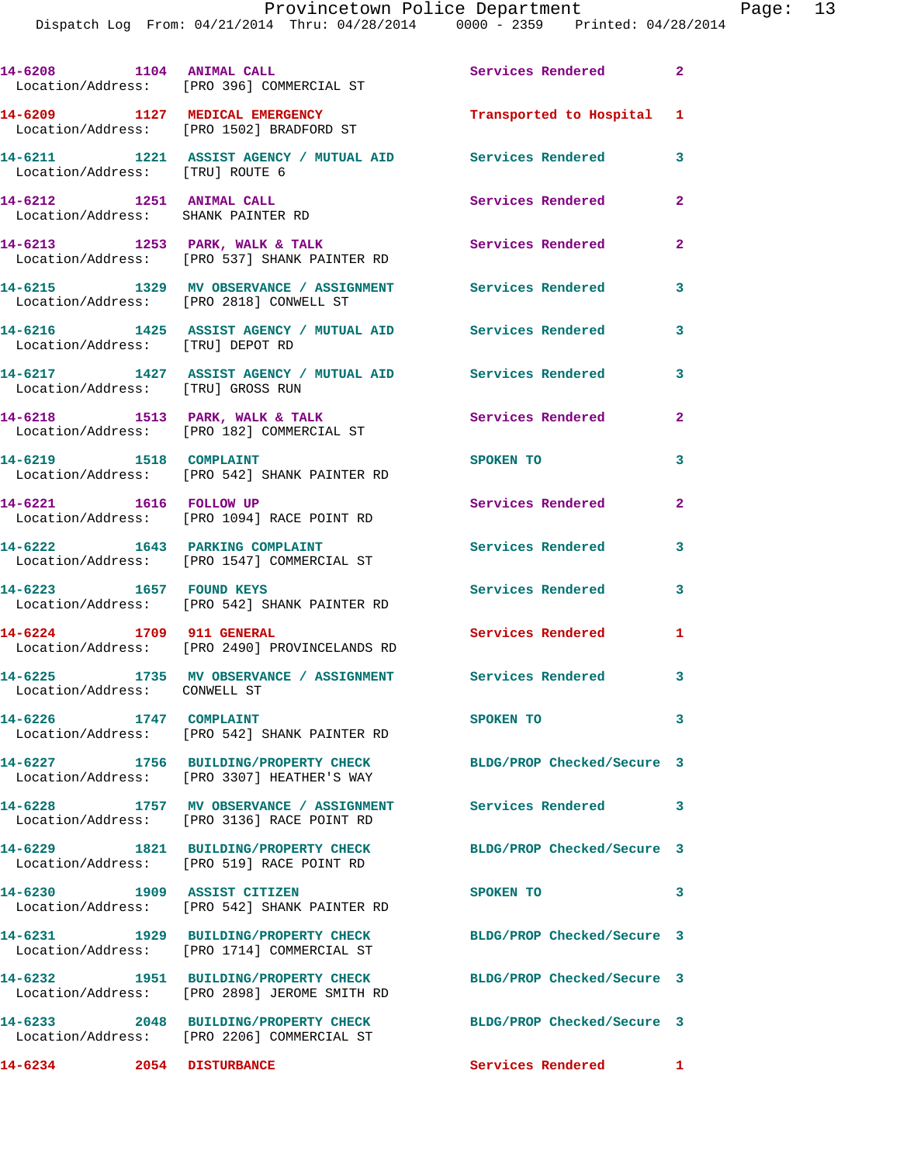|                                                                | 14-6208 1104 ANIMAL CALL<br>Location/Address: [PRO 396] COMMERCIAL ST                                | Services Rendered 2        |                         |
|----------------------------------------------------------------|------------------------------------------------------------------------------------------------------|----------------------------|-------------------------|
|                                                                | 14-6209 1127 MEDICAL EMERGENCY<br>Location/Address: [PRO 1502] BRADFORD ST                           | Transported to Hospital 1  |                         |
| Location/Address: [TRU] ROUTE 6                                | 14-6211 1221 ASSIST AGENCY / MUTUAL AID Services Rendered                                            |                            | $\overline{\mathbf{3}}$ |
| 14-6212 1251 ANIMAL CALL<br>Location/Address: SHANK PAINTER RD |                                                                                                      | Services Rendered          | $\mathbf{2}$            |
|                                                                | 14-6213 1253 PARK, WALK & TALK<br>Location/Address: [PRO 537] SHANK PAINTER RD                       | Services Rendered          | $\overline{2}$          |
|                                                                | 14-6215 1329 MV OBSERVANCE / ASSIGNMENT Services Rendered<br>Location/Address: [PRO 2818] CONWELL ST |                            | 3                       |
| Location/Address: [TRU] DEPOT RD                               | 14-6216 1425 ASSIST AGENCY / MUTUAL AID Services Rendered                                            |                            | 3                       |
| Location/Address: [TRU] GROSS RUN                              | 14-6217 1427 ASSIST AGENCY / MUTUAL AID Services Rendered                                            |                            | $\mathbf{3}$            |
|                                                                | 14-6218 1513 PARK, WALK & TALK<br>Location/Address: [PRO 182] COMMERCIAL ST                          | <b>Services Rendered</b>   | $\mathbf{2}$            |
| 14-6219 1518 COMPLAINT                                         | Location/Address: [PRO 542] SHANK PAINTER RD                                                         | SPOKEN TO                  | 3                       |
| 14-6221 1616 FOLLOW UP                                         | Location/Address: [PRO 1094] RACE POINT RD                                                           | Services Rendered          | $\mathbf{2}$            |
| 14-6222 1643 PARKING COMPLAINT                                 | Location/Address: [PRO 1547] COMMERCIAL ST                                                           | <b>Services Rendered</b>   | 3                       |
|                                                                | 14-6223 1657 FOUND KEYS<br>Location/Address: [PRO 542] SHANK PAINTER RD                              | Services Rendered          | 3                       |
| 14-6224 1709 911 GENERAL                                       | Location/Address: [PRO 2490] PROVINCELANDS RD                                                        | Services Rendered          | $\mathbf{1}$            |
| Location/Address: CONWELL ST                                   | 14-6225 1735 MV OBSERVANCE / ASSIGNMENT Services Rendered 3                                          |                            |                         |
| 1747 COMPLAINT<br>14-6226                                      | Location/Address: [PRO 542] SHANK PAINTER RD                                                         | SPOKEN TO                  | 3                       |
|                                                                | 14-6227 1756 BUILDING/PROPERTY CHECK<br>Location/Address: [PRO 3307] HEATHER'S WAY                   | BLDG/PROP Checked/Secure 3 |                         |
|                                                                | 14-6228 1757 MV OBSERVANCE / ASSIGNMENT<br>Location/Address: [PRO 3136] RACE POINT RD                | Services Rendered          | 3                       |
|                                                                | 14-6229 1821 BUILDING/PROPERTY CHECK<br>Location/Address: [PRO 519] RACE POINT RD                    | BLDG/PROP Checked/Secure 3 |                         |
| 14-6230                                                        | 1909 ASSIST CITIZEN<br>Location/Address: [PRO 542] SHANK PAINTER RD                                  | SPOKEN TO                  | 3                       |
|                                                                | 14-6231 1929 BUILDING/PROPERTY CHECK<br>Location/Address: [PRO 1714] COMMERCIAL ST                   | BLDG/PROP Checked/Secure 3 |                         |
| 14-6232                                                        | 1951 BUILDING/PROPERTY CHECK<br>Location/Address: [PRO 2898] JEROME SMITH RD                         | BLDG/PROP Checked/Secure 3 |                         |
|                                                                | 14-6233 2048 BUILDING/PROPERTY CHECK<br>Location/Address: [PRO 2206] COMMERCIAL ST                   | BLDG/PROP Checked/Secure 3 |                         |
| 14-6234 2054 DISTURBANCE                                       |                                                                                                      | Services Rendered 1        |                         |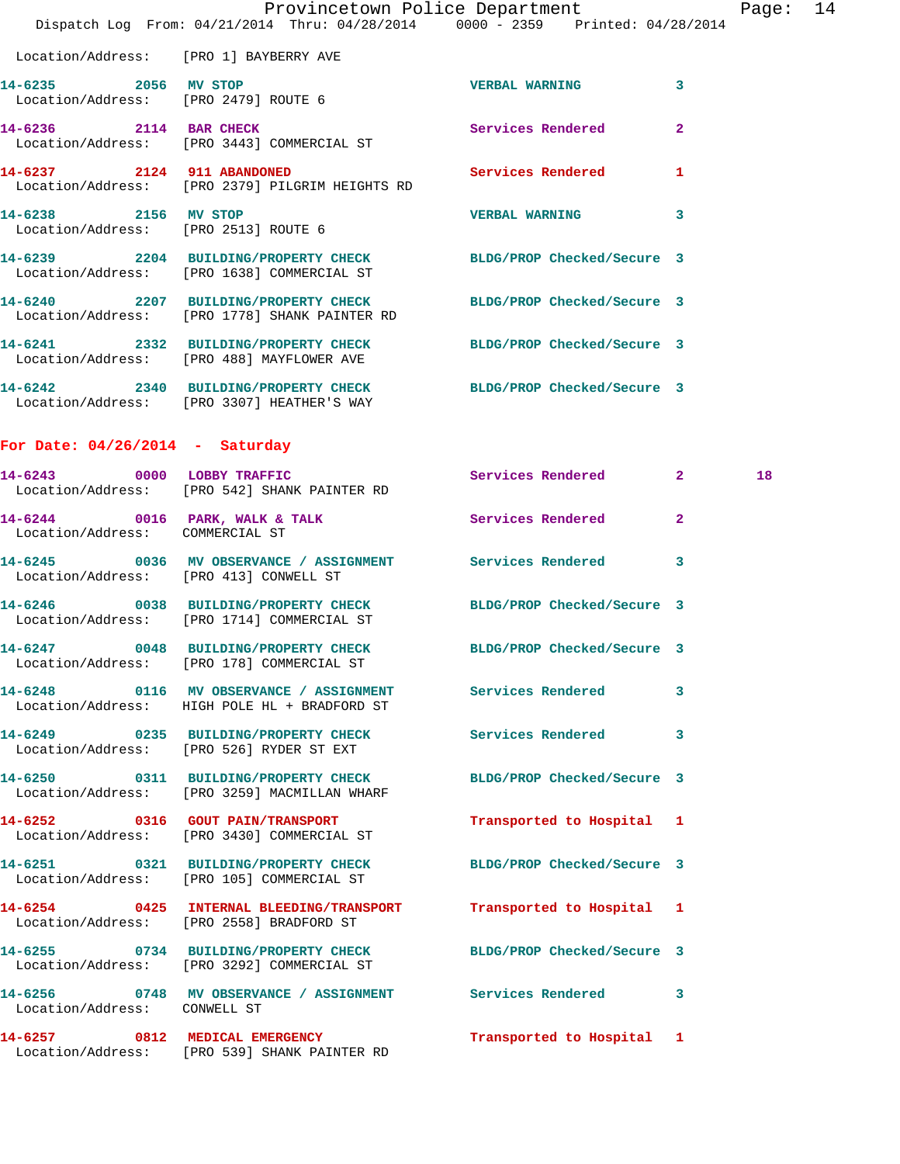|                                                                     | Provincetown Police Department                                                                                |                            | Page           |
|---------------------------------------------------------------------|---------------------------------------------------------------------------------------------------------------|----------------------------|----------------|
|                                                                     | Dispatch Log From: 04/21/2014 Thru: 04/28/2014 0000 - 2359 Printed: 04/28/2014                                |                            |                |
| Location/Address: [PRO 1] BAYBERRY AVE                              |                                                                                                               |                            |                |
| 14-6235 2056 MV STOP                                                | Location/Address: [PRO 2479] ROUTE 6                                                                          | <b>VERBAL WARNING</b>      | 3              |
|                                                                     | 14-6236 2114 BAR CHECK<br>Location/Address: [PRO 3443] COMMERCIAL ST                                          | Services Rendered          | $\overline{2}$ |
| 14-6237 2124 911 ABANDONED                                          | Location/Address: [PRO 2379] PILGRIM HEIGHTS RD                                                               | Services Rendered          | 1              |
| 14-6238 2156 MV STOP<br>Location/Address: [PRO 2513] ROUTE 6        |                                                                                                               | <b>VERBAL WARNING</b>      | 3              |
|                                                                     | 14-6239 2204 BUILDING/PROPERTY CHECK BLDG/PROP Checked/Secure 3<br>Location/Address: [PRO 1638] COMMERCIAL ST |                            |                |
|                                                                     | 14-6240 2207 BUILDING/PROPERTY CHECK<br>Location/Address: [PRO 1778] SHANK PAINTER RD                         | BLDG/PROP Checked/Secure 3 |                |
|                                                                     | 14-6241 2332 BUILDING/PROPERTY CHECK BLDG/PROP Checked/Secure 3<br>Location/Address: [PRO 488] MAYFLOWER AVE  |                            |                |
|                                                                     | 14-6242 2340 BUILDING/PROPERTY CHECK<br>Location/Address: [PRO 3307] HEATHER'S WAY                            | BLDG/PROP Checked/Secure 3 |                |
| For Date: $04/26/2014$ - Saturday                                   |                                                                                                               |                            |                |
|                                                                     | 14-6243 0000 LOBBY TRAFFIC<br>Location/Address: [PRO 542] SHANK PAINTER RD                                    | Services Rendered 2        | 18             |
| $14-6244$ 0016 PARK, WALK & TALK<br>Location/Address: COMMERCIAL ST |                                                                                                               | Services Rendered          | $\mathbf{2}$   |
| Location/Address: [PRO 413] CONWELL ST                              | 14-6245 0036 MV OBSERVANCE / ASSIGNMENT Services Rendered                                                     |                            | 3              |
|                                                                     | 14-6246 0038 BUILDING/PROPERTY CHECK BLDG/PROP Checked/Secure 3<br>Location/Address: [PRO 1714] COMMERCIAL ST |                            |                |
|                                                                     | 14-6247 0048 BUILDING/PROPERTY CHECK BLDG/PROP Checked/Secure 3<br>Location/Address: [PRO 178] COMMERCIAL ST  |                            |                |
|                                                                     | 14-6248 0116 MV OBSERVANCE / ASSIGNMENT Services Rendered<br>Location/Address: HIGH POLE HL + BRADFORD ST     |                            | 3              |
|                                                                     | 14-6249 0235 BUILDING/PROPERTY CHECK<br>Location/Address: [PRO 526] RYDER ST EXT                              | Services Rendered          | 3              |
|                                                                     | 14-6250 0311 BUILDING/PROPERTY CHECK<br>Location/Address: [PRO 3259] MACMILLAN WHARF                          | BLDG/PROP Checked/Secure 3 |                |
|                                                                     | 14-6252 0316 GOUT PAIN/TRANSPORT<br>Location/Address: [PRO 3430] COMMERCIAL ST                                | Transported to Hospital 1  |                |
|                                                                     | 14-6251 0321 BUILDING/PROPERTY CHECK<br>Location/Address: [PRO 105] COMMERCIAL ST                             | BLDG/PROP Checked/Secure 3 |                |
|                                                                     | 14-6254 0425 INTERNAL BLEEDING/TRANSPORT<br>Location/Address: [PRO 2558] BRADFORD ST                          | Transported to Hospital 1  |                |
|                                                                     | 14-6255 0734 BUILDING/PROPERTY CHECK<br>Location/Address: [PRO 3292] COMMERCIAL ST                            | BLDG/PROP Checked/Secure 3 |                |
| Location/Address: CONWELL ST                                        | 14-6256 0748 MV OBSERVANCE / ASSIGNMENT Services Rendered                                                     |                            | 3              |
| 14-6257 0812 MEDICAL EMERGENCY                                      |                                                                                                               | Transported to Hospital 1  |                |

Location/Address: [PRO 539] SHANK PAINTER RD

age: 14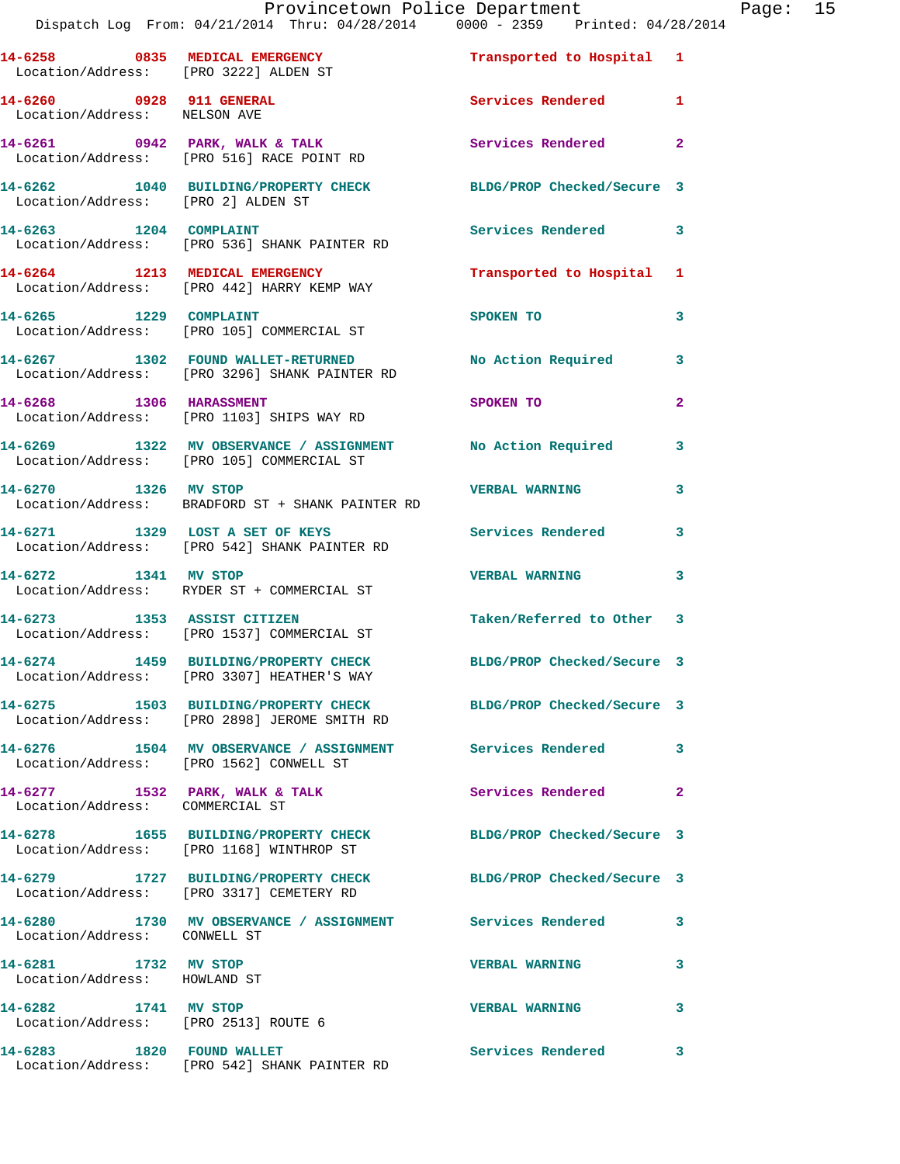|                                                              | Provincetown Police Department Page: 15<br>Dispatch Log From: 04/21/2014 Thru: 04/28/2014 0000 - 2359 Printed: 04/28/2014 |                            |                         |
|--------------------------------------------------------------|---------------------------------------------------------------------------------------------------------------------------|----------------------------|-------------------------|
|                                                              | 14-6258 0835 MEDICAL EMERGENCY<br>Location/Address: [PRO 3222] ALDEN ST                                                   | Transported to Hospital 1  |                         |
| Location/Address: NELSON AVE                                 | 14-6260 0928 911 GENERAL                                                                                                  | Services Rendered 1        |                         |
|                                                              | 14-6261 0942 PARK, WALK & TALK Services Rendered 2<br>Location/Address: [PRO 516] RACE POINT RD                           |                            |                         |
| Location/Address: [PRO 2] ALDEN ST                           | 14-6262 1040 BUILDING/PROPERTY CHECK BLDG/PROP Checked/Secure 3                                                           |                            |                         |
|                                                              | 14-6263 1204 COMPLAINT<br>Location/Address: [PRO 536] SHANK PAINTER RD                                                    | Services Rendered 3        |                         |
|                                                              | 14-6264 1213 MEDICAL EMERGENCY<br>Location/Address: [PRO 442] HARRY KEMP WAY                                              | Transported to Hospital 1  |                         |
|                                                              | 14-6265 1229 COMPLAINT<br>Location/Address: [PRO 105] COMMERCIAL ST                                                       | SPOKEN TO                  | 3                       |
|                                                              | 14-6267 1302 FOUND WALLET-RETURNED No Action Required 3<br>Location/Address: [PRO 3296] SHANK PAINTER RD                  |                            |                         |
|                                                              | 14-6268 1306 HARASSMENT<br>Location/Address: [PRO 1103] SHIPS WAY RD                                                      | SPOKEN TO                  | $\mathbf{2}$            |
|                                                              | 14-6269 1322 MV OBSERVANCE / ASSIGNMENT No Action Required 3<br>Location/Address: [PRO 105] COMMERCIAL ST                 |                            |                         |
| 14-6270 1326 MV STOP                                         | Location/Address: BRADFORD ST + SHANK PAINTER RD                                                                          | <b>VERBAL WARNING</b>      | $\mathbf{3}$            |
|                                                              | 14-6271 1329 LOST A SET OF KEYS<br>Location/Address: [PRO 542] SHANK PAINTER RD                                           | <b>Services Rendered</b>   | 3                       |
| 14-6272 1341 MV STOP                                         | Location/Address: RYDER ST + COMMERCIAL ST                                                                                | <b>VERBAL WARNING</b>      | $\overline{\mathbf{3}}$ |
|                                                              | 14-6273 1353 ASSIST CITIZEN<br>Location/Address: [PRO 1537] COMMERCIAL ST                                                 | Taken/Referred to Other 3  |                         |
|                                                              | 14-6274 1459 BUILDING/PROPERTY CHECK<br>Location/Address: [PRO 3307] HEATHER'S WAY                                        | BLDG/PROP Checked/Secure 3 |                         |
|                                                              | 14-6275 1503 BUILDING/PROPERTY CHECK BLDG/PROP Checked/Secure 3<br>Location/Address: [PRO 2898] JEROME SMITH RD           |                            |                         |
|                                                              | 14-6276 1504 MV OBSERVANCE / ASSIGNMENT Services Rendered 3<br>Location/Address: [PRO 1562] CONWELL ST                    |                            |                         |
| Location/Address: COMMERCIAL ST                              | 14-6277 1532 PARK, WALK & TALK                                                                                            | Services Rendered          | $\mathbf{2}$            |
|                                                              | 14-6278 1655 BUILDING/PROPERTY CHECK BLDG/PROP Checked/Secure 3<br>Location/Address: [PRO 1168] WINTHROP ST               |                            |                         |
|                                                              | 14-6279 1727 BUILDING/PROPERTY CHECK BLDG/PROP Checked/Secure 3<br>Location/Address: [PRO 3317] CEMETERY RD               |                            |                         |
| Location/Address: CONWELL ST                                 | 14-6280 1730 MV OBSERVANCE / ASSIGNMENT Services Rendered 3                                                               |                            |                         |
| 14-6281 1732 MV STOP<br>Location/Address: HOWLAND ST         |                                                                                                                           | <b>VERBAL WARNING</b>      | 3                       |
| 14-6282 1741 MV STOP<br>Location/Address: [PRO 2513] ROUTE 6 |                                                                                                                           | <b>VERBAL WARNING</b>      | 3                       |
|                                                              | 14-6283 1820 FOUND WALLET<br>Location/Address: [PRO 542] SHANK PAINTER RD                                                 | Services Rendered 3        |                         |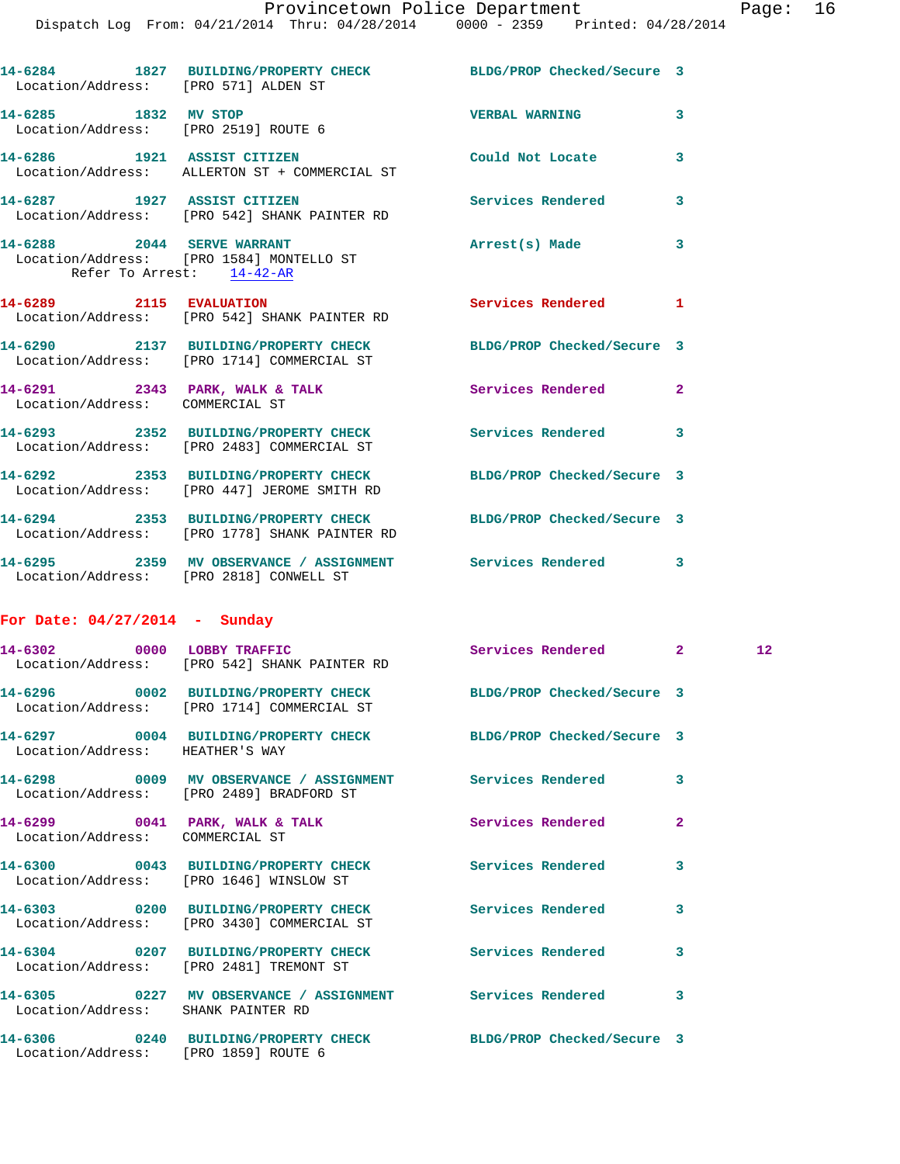| Location/Address: [PRO 571] ALDEN ST                              | 14-6284 1827 BUILDING/PROPERTY CHECK BLDG/PROP Checked/Secure 3                                                |                            |              |                 |
|-------------------------------------------------------------------|----------------------------------------------------------------------------------------------------------------|----------------------------|--------------|-----------------|
| 14-6285 1832 MV STOP<br>Location/Address: [PRO 2519] ROUTE 6      |                                                                                                                | <b>VERBAL WARNING</b>      | 3            |                 |
| 14-6286 1921 ASSIST CITIZEN                                       | Location/Address: ALLERTON ST + COMMERCIAL ST                                                                  | Could Not Locate           | 3            |                 |
| 14-6287 1927 ASSIST CITIZEN                                       | Location/Address: [PRO 542] SHANK PAINTER RD                                                                   | <b>Services Rendered</b>   | 3            |                 |
|                                                                   | 14-6288 2044 SERVE WARRANT<br>Location/Address: [PRO 1584] MONTELLO ST<br>Refer To Arrest: 14-42-AR            | Arrest(s) Made             | 3            |                 |
| 14-6289 2115 EVALUATION                                           | Location/Address: [PRO 542] SHANK PAINTER RD                                                                   | Services Rendered 1        |              |                 |
|                                                                   | 14-6290 2137 BUILDING/PROPERTY CHECK BLDG/PROP Checked/Secure 3<br>Location/Address: [PRO 1714] COMMERCIAL ST  |                            |              |                 |
| 14-6291 2343 PARK, WALK & TALK<br>Location/Address: COMMERCIAL ST |                                                                                                                | Services Rendered          | $\mathbf{2}$ |                 |
|                                                                   | 14-6293 2352 BUILDING/PROPERTY CHECK Services Rendered 3<br>Location/Address: [PRO 2483] COMMERCIAL ST         |                            |              |                 |
|                                                                   | 14-6292 2353 BUILDING/PROPERTY CHECK BLDG/PROP Checked/Secure 3<br>Location/Address: [PRO 447] JEROME SMITH RD |                            |              |                 |
|                                                                   | 14-6294 2353 BUILDING/PROPERTY CHECK<br>Location/Address: [PRO 1778] SHANK PAINTER RD                          | BLDG/PROP Checked/Secure 3 |              |                 |
|                                                                   | 14-6295 2359 MV OBSERVANCE / ASSIGNMENT Services Rendered 3<br>Location/Address: [PRO 2818] CONWELL ST         |                            |              |                 |
| For Date: $04/27/2014$ - Sunday                                   |                                                                                                                |                            |              |                 |
| 14-6302 0000 LOBBY TRAFFIC                                        | Location/Address: [PRO 542] SHANK PAINTER RD                                                                   | Services Rendered 2        |              | 12 <sub>1</sub> |
|                                                                   | 14-6296 0002 BUILDING/PROPERTY CHECK BLDG/PROP Checked/Secure 3<br>Location/Address: [PRO 1714] COMMERCIAL ST  |                            |              |                 |
| Location/Address: HEATHER'S WAY                                   | 14-6297 0004 BUILDING/PROPERTY CHECK BLDG/PROP Checked/Secure 3                                                |                            |              |                 |
|                                                                   | 14-6298 0009 MV OBSERVANCE / ASSIGNMENT Services Rendered 3                                                    |                            |              |                 |

Location/Address: COMMERCIAL ST

Location/Address: [PRO 3430] COMMERCIAL ST

**14-6305 0227 MV OBSERVANCE / ASSIGNMENT Services Rendered 3** 

Location/Address: [PRO 2489] BRADFORD ST

**14-6299 0041 PARK, WALK & TALK Services Rendered 2** 

**14-6300 0043 BUILDING/PROPERTY CHECK Services Rendered 3**  Location/Address: [PRO 1646] WINSLOW ST

**14-6303 0200 BUILDING/PROPERTY CHECK Services Rendered 3** 

**14-6304 0207 BUILDING/PROPERTY CHECK Services Rendered 3**  Location/Address: [PRO 2481] TREMONT ST

Location/Address: SHANK PAINTER RD

**14-6306 0240 BUILDING/PROPERTY CHECK BLDG/PROP Checked/Secure 3**  Location/Address: [PRO 1859] ROUTE 6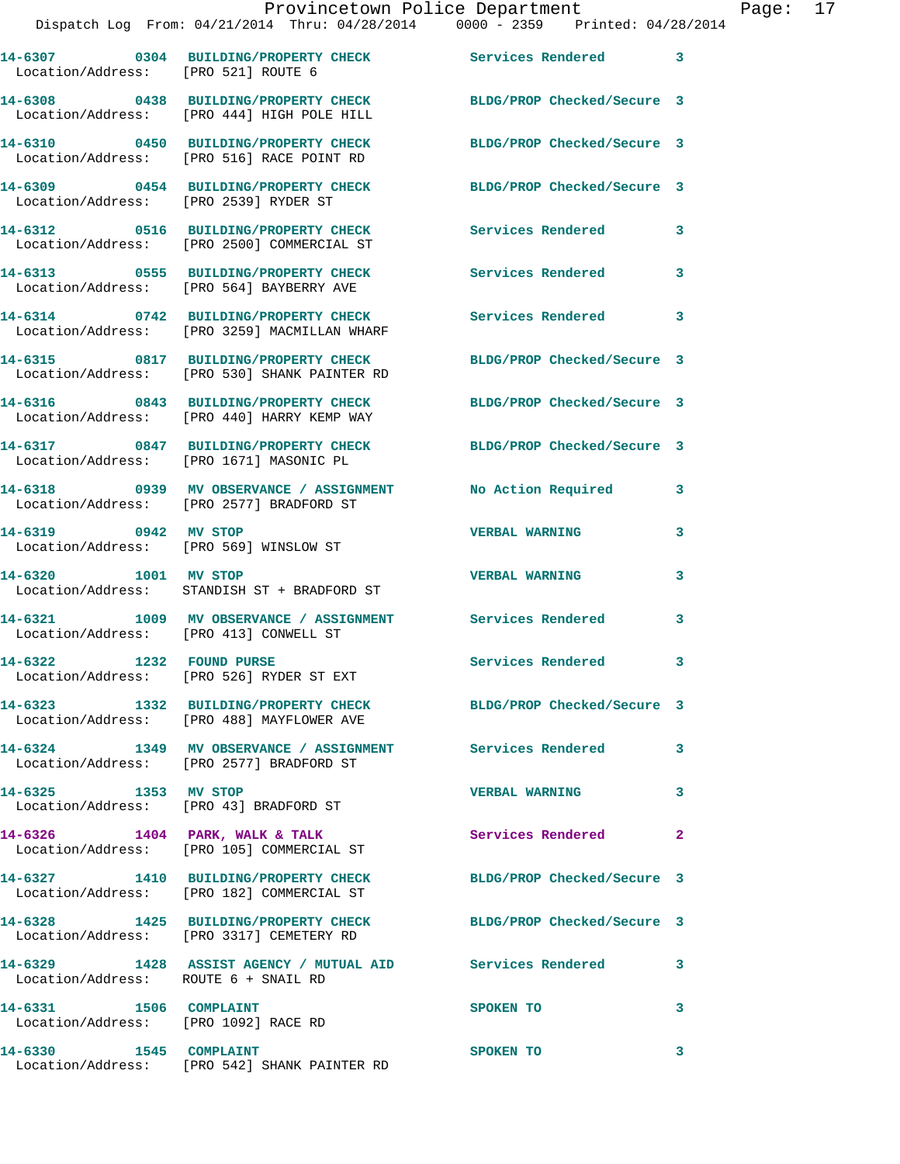|                                       | Provincetown Police Department<br>Dispatch Log From: 04/21/2014 Thru: 04/28/2014 0000 - 2359 Printed: 04/28/2014 |                         | Page: $17$ |  |
|---------------------------------------|------------------------------------------------------------------------------------------------------------------|-------------------------|------------|--|
| Location/Address: [PRO 521] ROUTE 6   | 14-6307 0304 BUILDING/PROPERTY CHECK Services Rendered 3                                                         |                         |            |  |
|                                       | 14-6308 0438 BUILDING/PROPERTY CHECK BLDG/PROP Checked/Secure 3<br>Location/Address: [PRO 444] HIGH POLE HILL    |                         |            |  |
|                                       | 14-6310 0450 BUILDING/PROPERTY CHECK BLDG/PROP Checked/Secure 3<br>Location/Address: [PRO 516] RACE POINT RD     |                         |            |  |
| Location/Address: [PRO 2539] RYDER ST | 14-6309 0454 BUILDING/PROPERTY CHECK BLDG/PROP Checked/Secure 3                                                  |                         |            |  |
|                                       | 14-6312 0516 BUILDING/PROPERTY CHECK Services Rendered<br>Location/Address: [PRO 2500] COMMERCIAL ST             | $\overline{\mathbf{3}}$ |            |  |
|                                       | 14-6313 0555 BUILDING/PROPERTY CHECK Services Rendered<br>Location/Address: [PRO 564] BAYBERRY AVE               | $\overline{\mathbf{3}}$ |            |  |
|                                       | 14-6314 0742 BUILDING/PROPERTY CHECK Services Rendered<br>Location/Address: [PRO 3259] MACMILLAN WHARF           | $\mathbf{3}$            |            |  |
|                                       | 14-6315 0817 BUILDING/PROPERTY CHECK BLDG/PROP Checked/Secure 3<br>Location/Address: [PRO 530] SHANK PAINTER RD  |                         |            |  |
|                                       | 14-6316 0843 BUILDING/PROPERTY CHECK BLDG/PROP Checked/Secure 3<br>Location/Address: [PRO 440] HARRY KEMP WAY    |                         |            |  |

**14-6317 0847 BUILDING/PROPERTY CHECK BLDG/PROP Checked/Secure 3**  Location/Address: [PRO 1671] MASONIC PL

**14-6318 0939 MV OBSERVANCE / ASSIGNMENT No Action Required 3**  Location/Address: [PRO 2577] BRADFORD ST

**14-6319 0942 MV STOP VERBAL WARNING 3**  Location/Address: [PRO 569] WINSLOW ST

**14-6320 1001 MV STOP VERBAL WARNING 3**  Location/Address: STANDISH ST + BRADFORD ST

**14-6321 1009 MV OBSERVANCE / ASSIGNMENT Services Rendered 3**  Location/Address: [PRO 413] CONWELL ST

**14-6322 1232 FOUND PURSE Services Rendered 3**  Location/Address: [PRO 526] RYDER ST EXT

Location/Address: [PRO 488] MAYFLOWER AVE

Location/Address: [PRO 43] BRADFORD ST

Location/Address: [PRO 3317] CEMETERY RD

**14-6329 1428 ASSIST AGENCY / MUTUAL AID Services Rendered 3** 

**14-6324 1349 MV OBSERVANCE / ASSIGNMENT Services Rendered 3**  Location/Address: [PRO 2577] BRADFORD ST

**14-6325 1353 MV STOP VERBAL WARNING 3** 

Location/Address: [PRO 105] COMMERCIAL ST

Location/Address: [PRO 182] COMMERCIAL ST

Location/Address: ROUTE 6 + SNAIL RD

Location/Address: [PRO 1092] RACE RD

**14-6330 1545 COMPLAINT SPOKEN TO 3**  Location/Address: [PRO 542] SHANK PAINTER RD

**14-6323 1332 BUILDING/PROPERTY CHECK BLDG/PROP Checked/Secure 3** 

14-6326 1404 PARK, WALK & TALK **Services Rendered** 2

**14-6327 1410 BUILDING/PROPERTY CHECK BLDG/PROP Checked/Secure 3** 

**14-6328 1425 BUILDING/PROPERTY CHECK BLDG/PROP Checked/Secure 3** 

**14-6331 1506 COMPLAINT SPOKEN TO 3**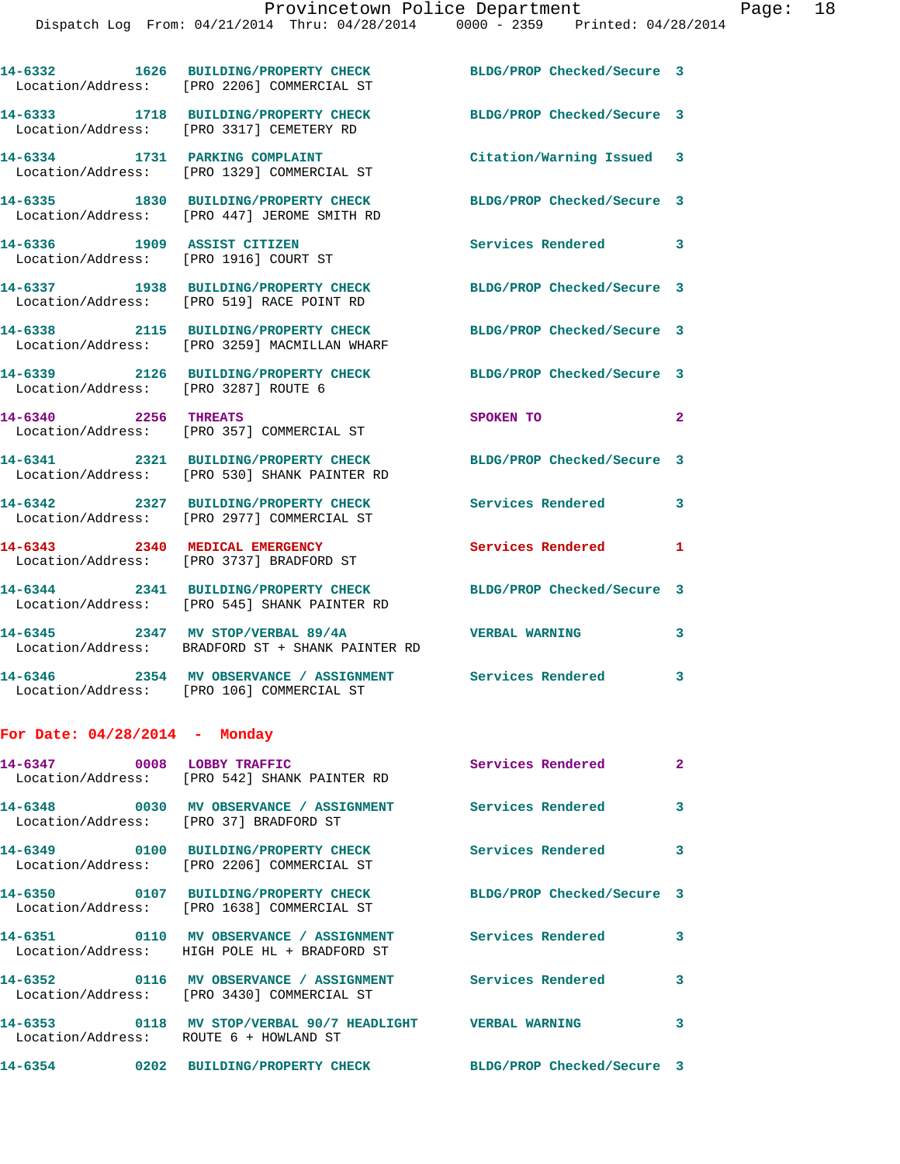|                                                                      | 14-6332 1626 BUILDING/PROPERTY CHECK<br>Location/Address: [PRO 2206] COMMERCIAL ST    | BLDG/PROP Checked/Secure 3 |                |
|----------------------------------------------------------------------|---------------------------------------------------------------------------------------|----------------------------|----------------|
|                                                                      | 14-6333 1718 BUILDING/PROPERTY CHECK<br>Location/Address: [PRO 3317] CEMETERY RD      | BLDG/PROP Checked/Secure 3 |                |
|                                                                      | 14-6334 1731 PARKING COMPLAINT<br>Location/Address: [PRO 1329] COMMERCIAL ST          | Citation/Warning Issued 3  |                |
|                                                                      | 14-6335 1830 BUILDING/PROPERTY CHECK<br>Location/Address: [PRO 447] JEROME SMITH RD   | BLDG/PROP Checked/Secure 3 |                |
| 14-6336 1909 ASSIST CITIZEN<br>Location/Address: [PRO 1916] COURT ST |                                                                                       | <b>Services Rendered</b>   | 3              |
|                                                                      | 14-6337 1938 BUILDING/PROPERTY CHECK<br>Location/Address: [PRO 519] RACE POINT RD     | BLDG/PROP Checked/Secure 3 |                |
|                                                                      | 14-6338 2115 BUILDING/PROPERTY CHECK<br>Location/Address: [PRO 3259] MACMILLAN WHARF  | BLDG/PROP Checked/Secure 3 |                |
| Location/Address: [PRO 3287] ROUTE 6                                 | 14-6339 2126 BUILDING/PROPERTY CHECK                                                  | BLDG/PROP Checked/Secure 3 |                |
| 14-6340 2256 THREATS                                                 | Location/Address: [PRO 357] COMMERCIAL ST                                             | SPOKEN TO                  | $\overline{2}$ |
|                                                                      | 14-6341 2321 BUILDING/PROPERTY CHECK<br>Location/Address: [PRO 530] SHANK PAINTER RD  | BLDG/PROP Checked/Secure 3 |                |
|                                                                      | 14-6342 2327 BUILDING/PROPERTY CHECK<br>Location/Address: [PRO 2977] COMMERCIAL ST    | Services Rendered          | 3              |
| 14-6343 2340 MEDICAL EMERGENCY<br>Location/Address:                  | [PRO 3737] BRADFORD ST                                                                | Services Rendered          | 1              |
|                                                                      | 14-6344 2341 BUILDING/PROPERTY CHECK<br>Location/Address: [PRO 545] SHANK PAINTER RD  | BLDG/PROP Checked/Secure 3 |                |
|                                                                      | 14-6345 2347 MV STOP/VERBAL 89/4A<br>Location/Address: BRADFORD ST + SHANK PAINTER RD | <b>VERBAL WARNING</b>      | 3              |
|                                                                      | 14-6346 2354 MV OBSERVANCE / ASSIGNMENT<br>Location/Address: [PRO 106] COMMERCIAL ST  | Services Rendered          | 3              |
| For Date: 04/28/2014 - Monday                                        |                                                                                       |                            |                |
| 14-6347 0008 LOBBY TRAFFIC                                           | Location/Address: [PRO 542] SHANK PAINTER RD                                          | Services Rendered          | 2              |
| Location/Address: [PRO 37] BRADFORD ST                               |                                                                                       |                            | 3              |
|                                                                      | 14-6349 0100 BUILDING/PROPERTY CHECK<br>Location/Address: [PRO 2206] COMMERCIAL ST    | <b>Services Rendered</b>   | 3              |
|                                                                      | 14-6350 0107 BUILDING/PROPERTY CHECK<br>Location/Address: [PRO 1638] COMMERCIAL ST    | BLDG/PROP Checked/Secure 3 |                |
|                                                                      | Location/Address: HIGH POLE HL + BRADFORD ST                                          | Services Rendered          | 3              |
|                                                                      | 14-6352 0116 MV OBSERVANCE / ASSIGNMENT                                               | <b>Services Rendered</b>   | 3              |

Location/Address: [PRO 3430] COMMERCIAL ST

**14-6353 0118 MV STOP/VERBAL 90/7 HEADLIGHT VERBAL WARNING 3**  Location/Address: ROUTE 6 + HOWLAND ST

**14-6354 0202 BUILDING/PROPERTY CHECK BLDG/PROP Checked/Secure 3**